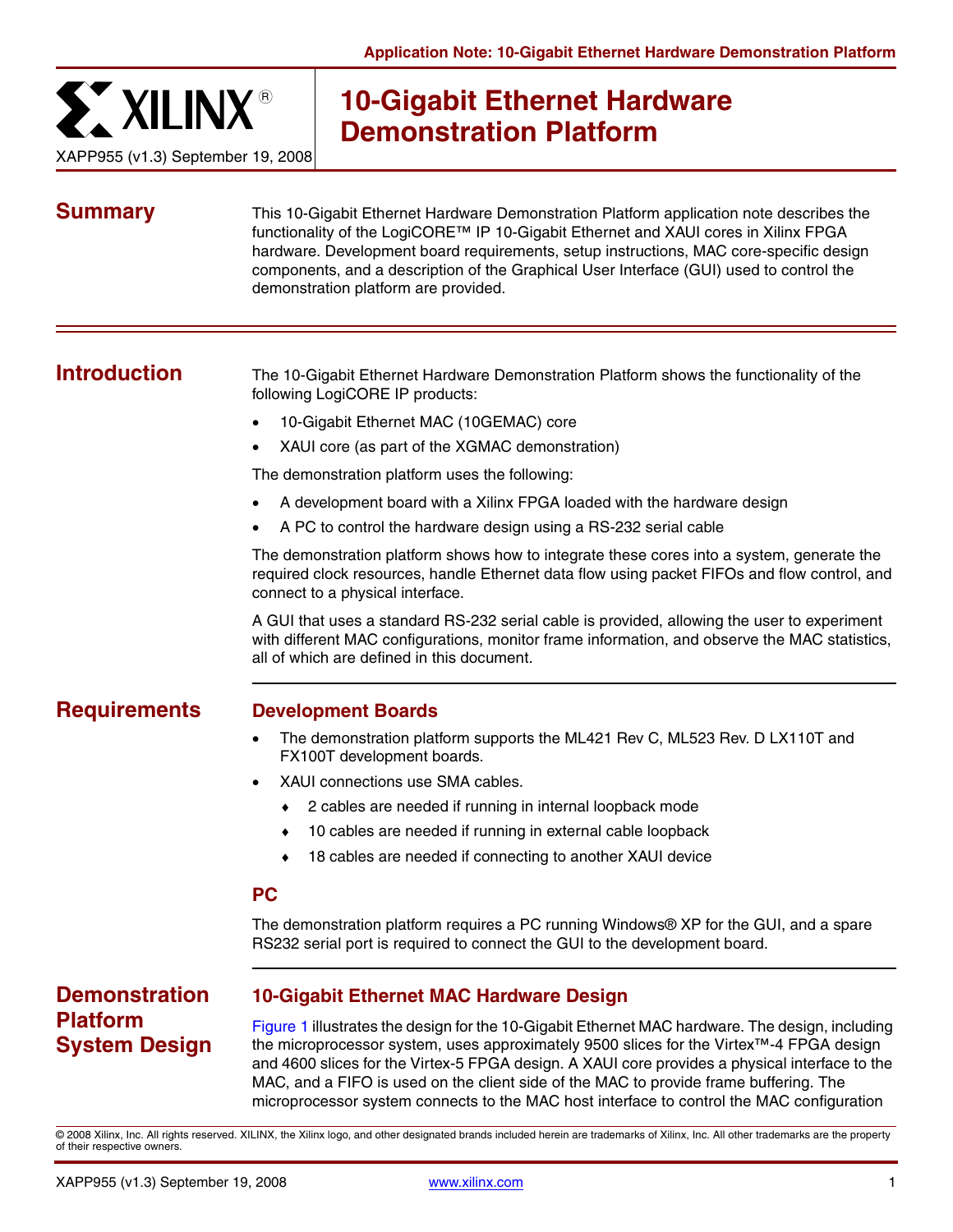

# **10-Gigabit Ethernet Hardware Demonstration Platform**

XAPP955 (v1.3) September 19, 2008

**Summary** This 10-Gigabit Ethernet Hardware Demonstration Platform application note describes the functionality of the LogiCORE™ IP 10-Gigabit Ethernet and XAUI cores in Xilinx FPGA hardware. Development board requirements, setup instructions, MAC core-specific design components, and a description of the Graphical User Interface (GUI) used to control the demonstration platform are provided.

**Introduction** The 10-Gigabit Ethernet Hardware Demonstration Platform shows the functionality of the following LogiCORE IP products:

- 10-Gigabit Ethernet MAC (10GEMAC) core
- XAUI core (as part of the XGMAC demonstration)

The demonstration platform uses the following:

- A development board with a Xilinx FPGA loaded with the hardware design
- A PC to control the hardware design using a RS-232 serial cable

The demonstration platform shows how to integrate these cores into a system, generate the required clock resources, handle Ethernet data flow using packet FIFOs and flow control, and connect to a physical interface.

A GUI that uses a standard RS-232 serial cable is provided, allowing the user to experiment with different MAC configurations, monitor frame information, and observe the MAC statistics, all of which are defined in this document.

## **Requirements Development Boards**

- The demonstration platform supports the ML421 Rev C, ML523 Rev. D LX110T and FX100T development boards.
- XAUI connections use SMA cables.
	- ♦ 2 cables are needed if running in internal loopback mode
	- ♦ 10 cables are needed if running in external cable loopback
	- ♦ 18 cables are needed if connecting to another XAUI device

### **PC**

The demonstration platform requires a PC running Windows® XP for the GUI, and a spare RS232 serial port is required to connect the GUI to the development board.

**Demonstration Platform System Design**

## **10-Gigabit Ethernet MAC Hardware Design**

[Figure](#page-1-0) 1 illustrates the design for the 10-Gigabit Ethernet MAC hardware. The design, including the microprocessor system, uses approximately 9500 slices for the Virtex™-4 FPGA design and 4600 slices for the Virtex-5 FPGA design. A XAUI core provides a physical interface to the MAC, and a FIFO is used on the client side of the MAC to provide frame buffering. The microprocessor system connects to the MAC host interface to control the MAC configuration

<sup>© 2008</sup> Xilinx, Inc. All rights reserved. XILINX, the Xilinx logo, and other designated brands included herein are trademarks of Xilinx, Inc. All other trademarks are the property of their respective owners.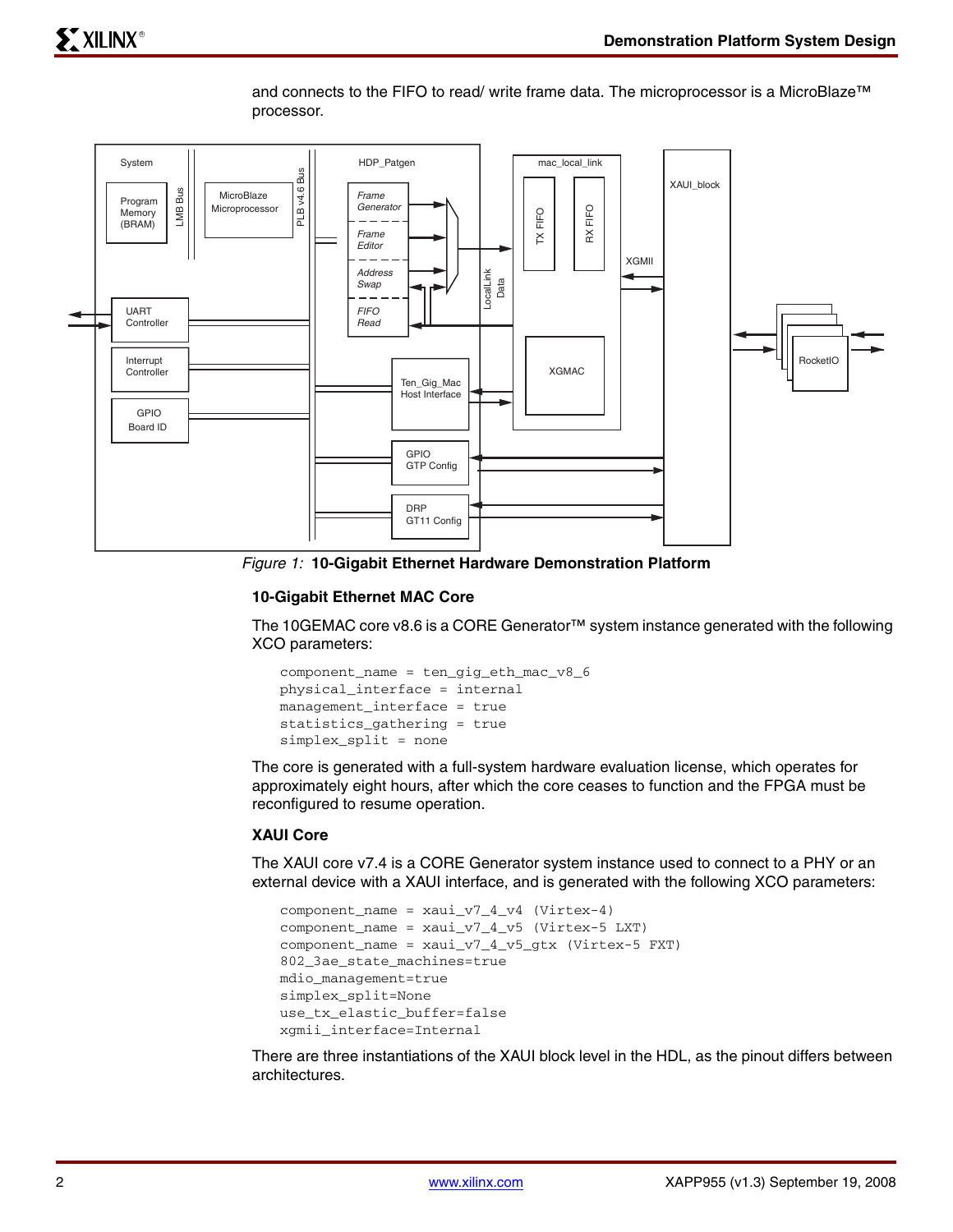

and connects to the FIFO to read/ write frame data. The microprocessor is a MicroBlaze™ processor.

<span id="page-1-0"></span>*Figure 1:* **10-Gigabit Ethernet Hardware Demonstration Platform**

#### **10-Gigabit Ethernet MAC Core**

The 10GEMAC core v8.6 is a CORE Generator™ system instance generated with the following XCO parameters:

```
component_name = ten_gig_eth_mac_v8_6
physical_interface = internal
management_interface = true
statistics_gathering = true
simplex_split = none
```
The core is generated with a full-system hardware evaluation license, which operates for approximately eight hours, after which the core ceases to function and the FPGA must be reconfigured to resume operation.

#### **XAUI Core**

The XAUI core v7.4 is a CORE Generator system instance used to connect to a PHY or an external device with a XAUI interface, and is generated with the following XCO parameters:

```
component_name = xaui_v7_4_v4 (Virtex-4)
component_name = xaui_v7_4_v5 (Virtex-5 LXT)
component_name = xaui_v7_4_v5_gtx (Virtex-5 FXT)
802_3ae_state_machines=true
mdio_management=true
simplex_split=None
use_tx_elastic_buffer=false
xgmii_interface=Internal
```
There are three instantiations of the XAUI block level in the HDL, as the pinout differs between architectures.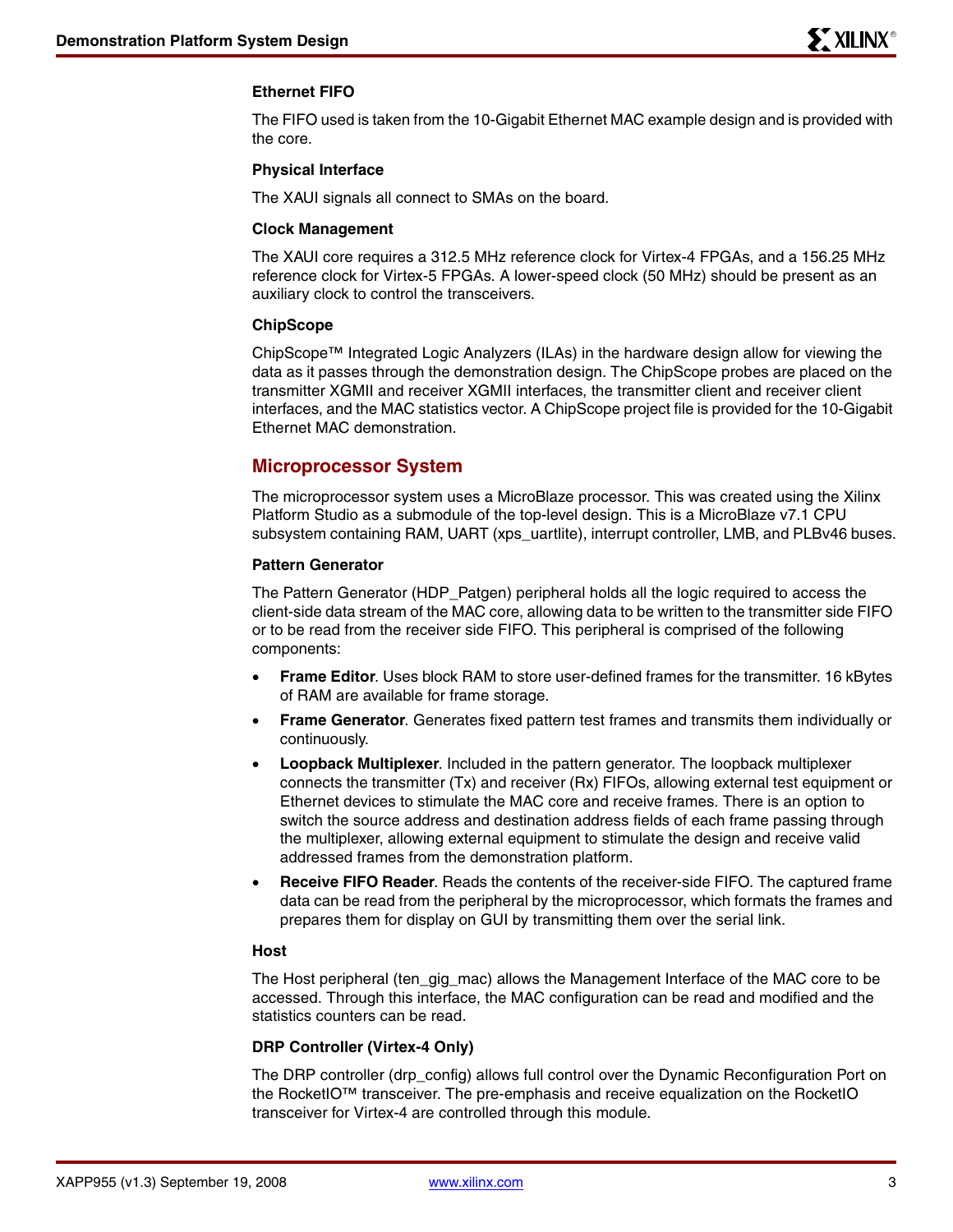#### **Ethernet FIFO**

The FIFO used is taken from the 10-Gigabit Ethernet MAC example design and is provided with the core.

#### **Physical Interface**

The XAUI signals all connect to SMAs on the board.

#### **Clock Management**

The XAUI core requires a 312.5 MHz reference clock for Virtex-4 FPGAs, and a 156.25 MHz reference clock for Virtex-5 FPGAs. A lower-speed clock (50 MHz) should be present as an auxiliary clock to control the transceivers.

#### **ChipScope**

ChipScope™ Integrated Logic Analyzers (ILAs) in the hardware design allow for viewing the data as it passes through the demonstration design. The ChipScope probes are placed on the transmitter XGMII and receiver XGMII interfaces, the transmitter client and receiver client interfaces, and the MAC statistics vector. A ChipScope project file is provided for the 10-Gigabit Ethernet MAC demonstration.

### **Microprocessor System**

The microprocessor system uses a MicroBlaze processor. This was created using the Xilinx Platform Studio as a submodule of the top-level design. This is a MicroBlaze v7.1 CPU subsystem containing RAM, UART (xps\_uartlite), interrupt controller, LMB, and PLBv46 buses.

#### **Pattern Generator**

The Pattern Generator (HDP\_Patgen) peripheral holds all the logic required to access the client-side data stream of the MAC core, allowing data to be written to the transmitter side FIFO or to be read from the receiver side FIFO. This peripheral is comprised of the following components:

- **Frame Editor**. Uses block RAM to store user-defined frames for the transmitter. 16 kBytes of RAM are available for frame storage.
- **Frame Generator.** Generates fixed pattern test frames and transmits them individually or continuously.
- **Loopback Multiplexer**. Included in the pattern generator. The loopback multiplexer connects the transmitter (Tx) and receiver (Rx) FIFOs, allowing external test equipment or Ethernet devices to stimulate the MAC core and receive frames. There is an option to switch the source address and destination address fields of each frame passing through the multiplexer, allowing external equipment to stimulate the design and receive valid addressed frames from the demonstration platform.
- **Receive FIFO Reader**. Reads the contents of the receiver-side FIFO. The captured frame data can be read from the peripheral by the microprocessor, which formats the frames and prepares them for display on GUI by transmitting them over the serial link.

#### **Host**

The Host peripheral (ten\_gig\_mac) allows the Management Interface of the MAC core to be accessed. Through this interface, the MAC configuration can be read and modified and the statistics counters can be read.

#### **DRP Controller (Virtex-4 Only)**

The DRP controller (drp\_config) allows full control over the Dynamic Reconfiguration Port on the RocketIO™ transceiver. The pre-emphasis and receive equalization on the RocketIO transceiver for Virtex-4 are controlled through this module.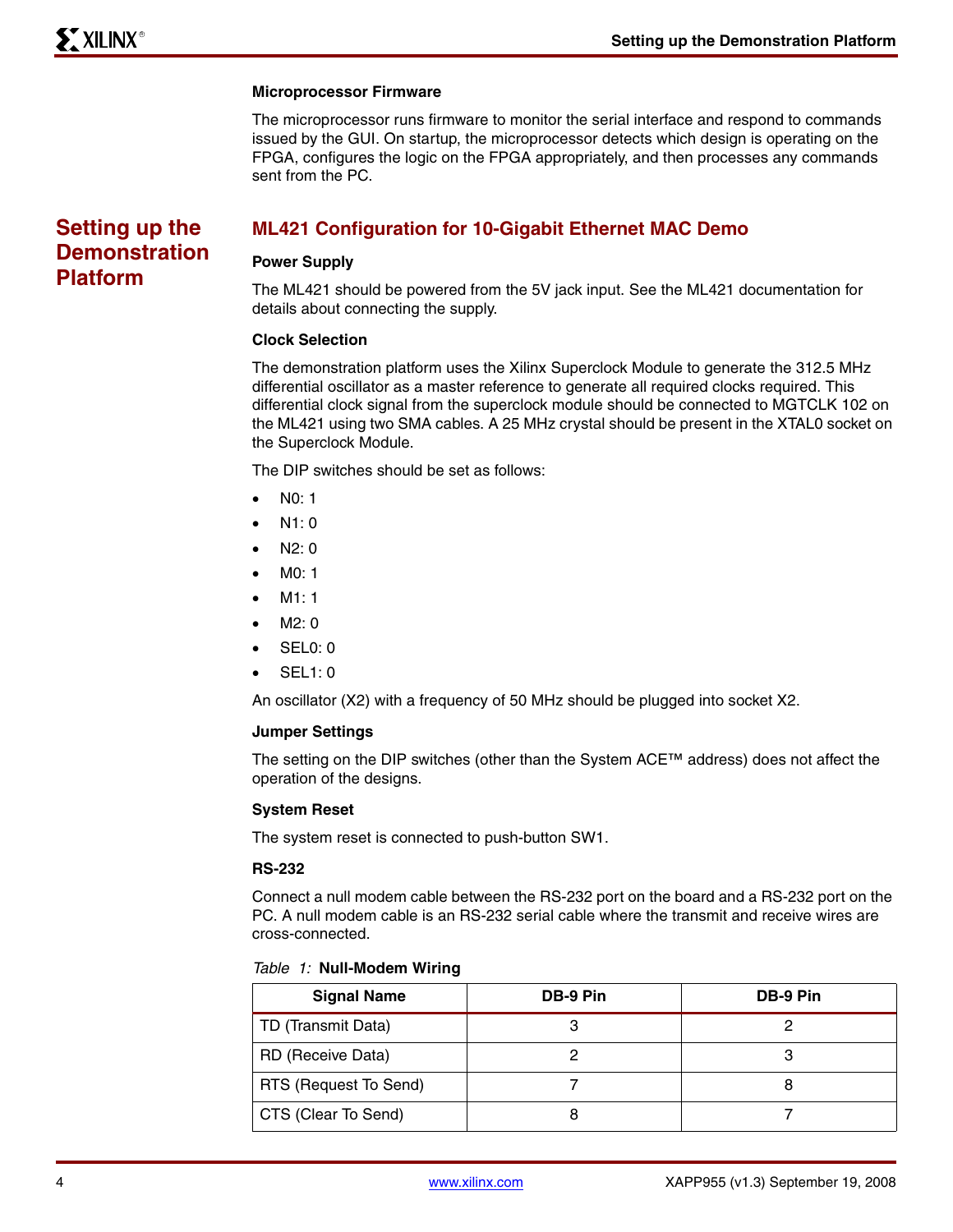#### **Microprocessor Firmware**

The microprocessor runs firmware to monitor the serial interface and respond to commands issued by the GUI. On startup, the microprocessor detects which design is operating on the FPGA, configures the logic on the FPGA appropriately, and then processes any commands sent from the PC.

## **Setting up the Demonstration Platform**

## **ML421 Configuration for 10-Gigabit Ethernet MAC Demo**

#### **Power Supply**

The ML421 should be powered from the 5V jack input. See the ML421 documentation for details about connecting the supply.

#### **Clock Selection**

The demonstration platform uses the Xilinx Superclock Module to generate the 312.5 MHz differential oscillator as a master reference to generate all required clocks required. This differential clock signal from the superclock module should be connected to MGTCLK 102 on the ML421 using two SMA cables. A 25 MHz crystal should be present in the XTAL0 socket on the Superclock Module.

The DIP switches should be set as follows:

- N0: 1
- $N1:0$
- N2: 0
- M0: 1
- M1: 1
- M2: 0
- SEL0: 0
- SEL1: 0

An oscillator (X2) with a frequency of 50 MHz should be plugged into socket X2.

#### **Jumper Settings**

The setting on the DIP switches (other than the System ACE™ address) does not affect the operation of the designs.

#### **System Reset**

The system reset is connected to push-button SW1.

#### **RS-232**

Connect a null modem cable between the RS-232 port on the board and a RS-232 port on the PC. A null modem cable is an RS-232 serial cable where the transmit and receive wires are cross-connected.

#### *Table 1:* **Null-Modem Wiring**

| <b>Signal Name</b>    | DB-9 Pin | DB-9 Pin |
|-----------------------|----------|----------|
| TD (Transmit Data)    |          |          |
| RD (Receive Data)     |          |          |
| RTS (Request To Send) |          |          |
| CTS (Clear To Send)   |          |          |

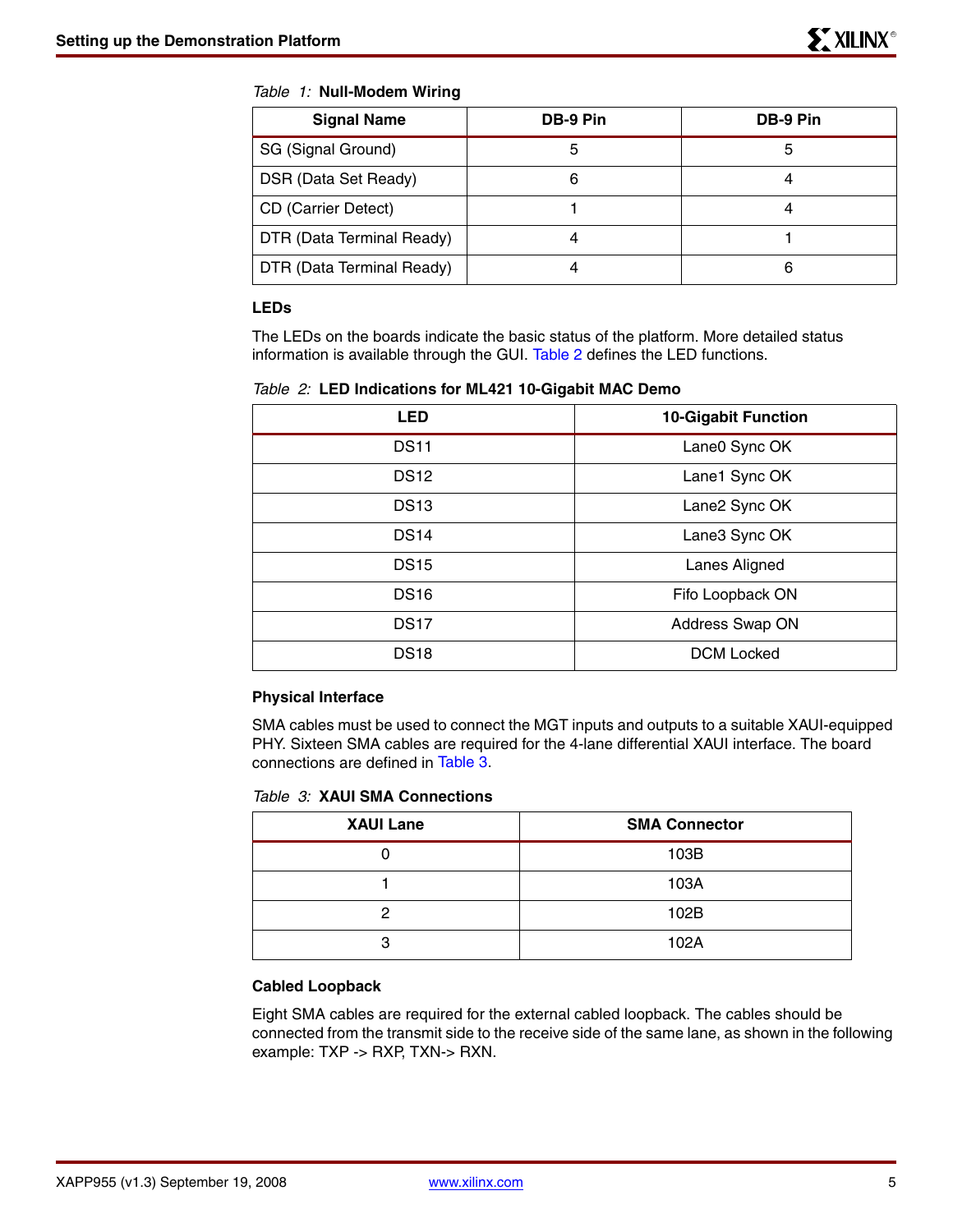#### *Table 1:* **Null-Modem Wiring**

| <b>Signal Name</b>        | DB-9 Pin | DB-9 Pin |
|---------------------------|----------|----------|
| SG (Signal Ground)        | 5        | 5        |
| DSR (Data Set Ready)      | 6        |          |
| CD (Carrier Detect)       |          |          |
| DTR (Data Terminal Ready) |          |          |
| DTR (Data Terminal Ready) |          | 6        |

#### **LEDs**

The LEDs on the boards indicate the basic status of the platform. More detailed status information is available through the GUI. [Table](#page-4-0) 2 defines the LED functions.

<span id="page-4-0"></span>*Table 2:* **LED Indications for ML421 10-Gigabit MAC Demo**

| <b>LED</b>  | <b>10-Gigabit Function</b> |  |
|-------------|----------------------------|--|
| <b>DS11</b> | Lane0 Sync OK              |  |
| <b>DS12</b> | Lane1 Sync OK              |  |
| <b>DS13</b> | Lane2 Sync OK              |  |
| <b>DS14</b> | Lane3 Sync OK              |  |
| <b>DS15</b> | Lanes Aligned              |  |
| <b>DS16</b> | Fifo Loopback ON           |  |
| <b>DS17</b> | Address Swap ON            |  |
| <b>DS18</b> | <b>DCM Locked</b>          |  |

### **Physical Interface**

SMA cables must be used to connect the MGT inputs and outputs to a suitable XAUI-equipped PHY. Sixteen SMA cables are required for the 4-lane differential XAUI interface. The board connections are defined in [Table](#page-4-1) 3.

#### <span id="page-4-1"></span>*Table 3:* **XAUI SMA Connections**

| <b>XAUI Lane</b> | <b>SMA Connector</b> |
|------------------|----------------------|
|                  | 103B                 |
|                  | 103A                 |
| ◠                | 102B                 |
| 3                | 102A                 |

### **Cabled Loopback**

Eight SMA cables are required for the external cabled loopback. The cables should be connected from the transmit side to the receive side of the same lane, as shown in the following example: TXP -> RXP, TXN-> RXN.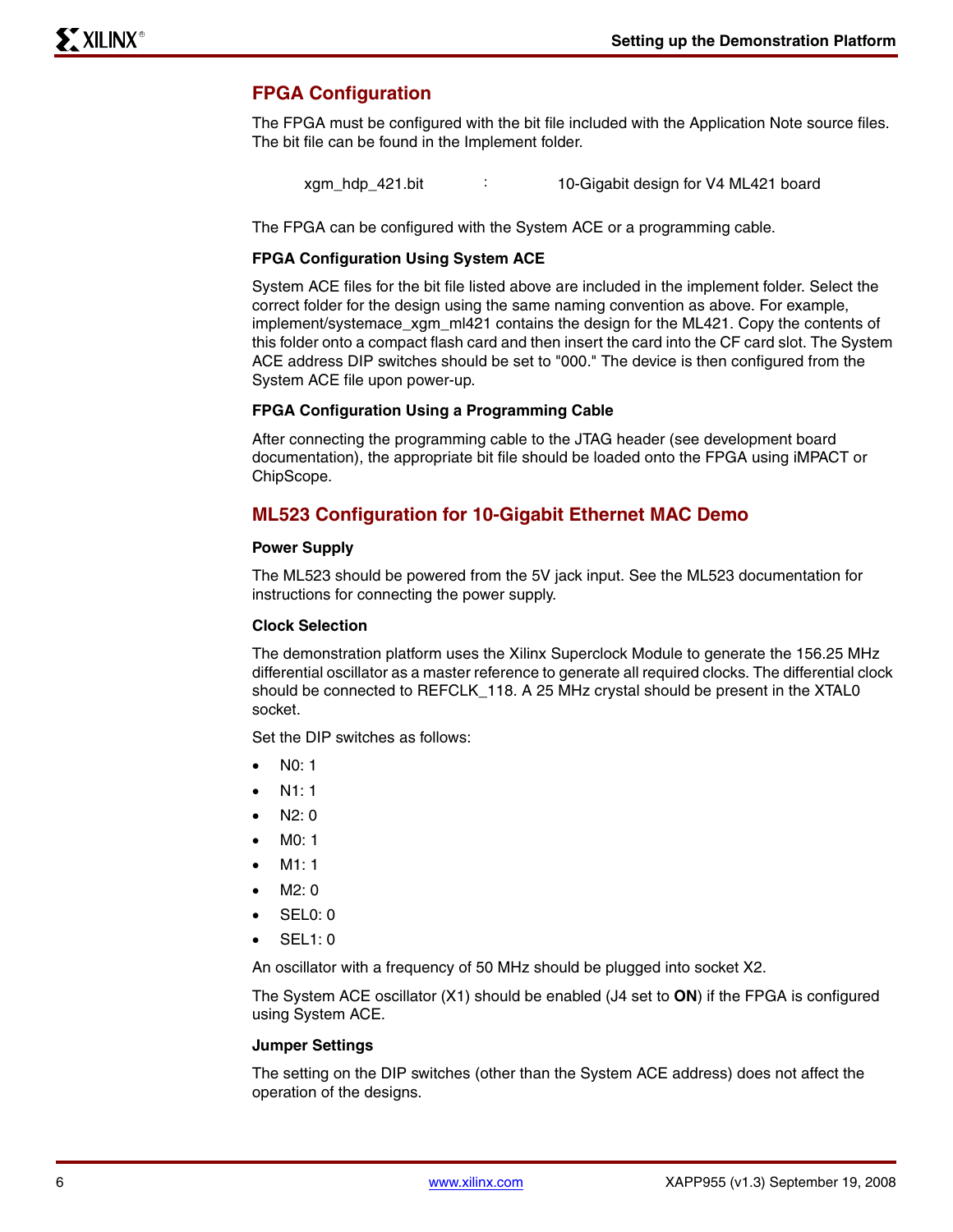## **FPGA Configuration**

The FPGA must be configured with the bit file included with the Application Note source files. The bit file can be found in the Implement folder.

: xgm\_hdp\_421.bit 10-Gigabit design for V4 ML421 board

The FPGA can be configured with the System ACE or a programming cable.

#### **FPGA Configuration Using System ACE**

System ACE files for the bit file listed above are included in the implement folder. Select the correct folder for the design using the same naming convention as above. For example, implement/systemace xgm\_ml421 contains the design for the ML421. Copy the contents of this folder onto a compact flash card and then insert the card into the CF card slot. The System ACE address DIP switches should be set to "000." The device is then configured from the System ACE file upon power-up.

#### **FPGA Configuration Using a Programming Cable**

After connecting the programming cable to the JTAG header (see development board documentation), the appropriate bit file should be loaded onto the FPGA using iMPACT or ChipScope.

#### **ML523 Configuration for 10-Gigabit Ethernet MAC Demo**

#### **Power Supply**

The ML523 should be powered from the 5V jack input. See the ML523 documentation for instructions for connecting the power supply.

#### **Clock Selection**

The demonstration platform uses the Xilinx Superclock Module to generate the 156.25 MHz differential oscillator as a master reference to generate all required clocks. The differential clock should be connected to REFCLK\_118. A 25 MHz crystal should be present in the XTAL0 socket.

Set the DIP switches as follows:

- N0: 1
- N1: 1
- N2: 0
- M0: 1
- M1: 1
- M2: 0
- SEL0: 0
- SEL1: 0

An oscillator with a frequency of 50 MHz should be plugged into socket X2.

The System ACE oscillator (X1) should be enabled (J4 set to **ON**) if the FPGA is configured using System ACE.

#### **Jumper Settings**

The setting on the DIP switches (other than the System ACE address) does not affect the operation of the designs.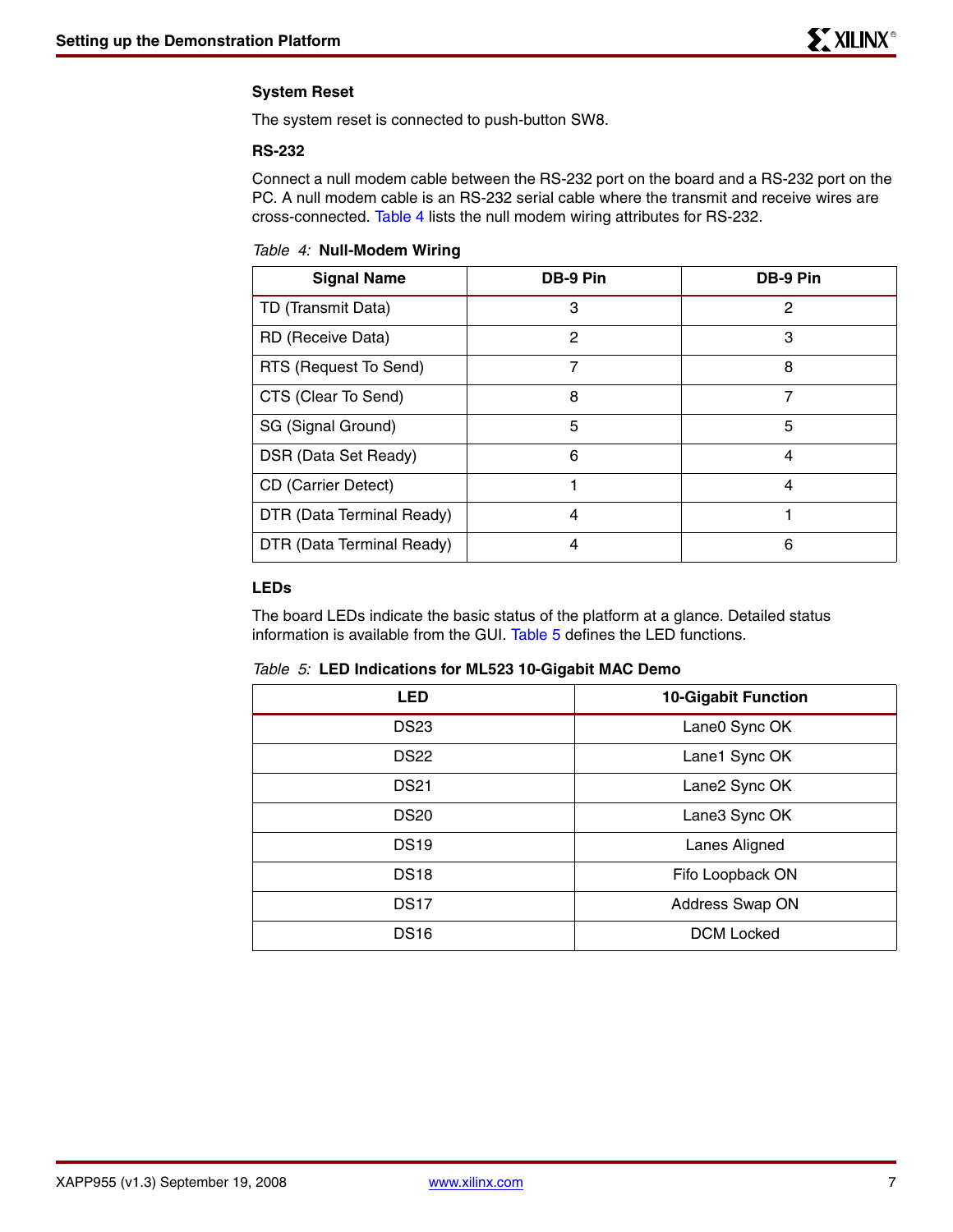#### **System Reset**

The system reset is connected to push-button SW8.

#### **RS-232**

Connect a null modem cable between the RS-232 port on the board and a RS-232 port on the PC. A null modem cable is an RS-232 serial cable where the transmit and receive wires are cross-connected. [Table](#page-6-0) 4 lists the null modem wiring attributes for RS-232.

#### <span id="page-6-0"></span>*Table 4:* **Null-Modem Wiring**

| <b>Signal Name</b>         | DB-9 Pin | DB-9 Pin |
|----------------------------|----------|----------|
| TD (Transmit Data)         | 3        | 2        |
| RD (Receive Data)          | 2        | 3        |
| RTS (Request To Send)      | 7        | 8        |
| CTS (Clear To Send)        | 8        | 7        |
| SG (Signal Ground)         | 5        | 5        |
| DSR (Data Set Ready)       | 6        | 4        |
| <b>CD</b> (Carrier Detect) |          | 4        |
| DTR (Data Terminal Ready)  | 4        |          |
| DTR (Data Terminal Ready)  | 4        | 6        |

#### **LEDs**

The board LEDs indicate the basic status of the platform at a glance. Detailed status information is available from the GUI. [Table](#page-6-1) 5 defines the LED functions.

<span id="page-6-1"></span>*Table 5:* **LED Indications for ML523 10-Gigabit MAC Demo**

| <b>LED</b>  | <b>10-Gigabit Function</b> |  |
|-------------|----------------------------|--|
| <b>DS23</b> | Lane0 Sync OK              |  |
| <b>DS22</b> | Lane1 Sync OK              |  |
| <b>DS21</b> | Lane2 Sync OK              |  |
| <b>DS20</b> | Lane3 Sync OK              |  |
| <b>DS19</b> | Lanes Aligned              |  |
| <b>DS18</b> | Fifo Loopback ON           |  |
| <b>DS17</b> | <b>Address Swap ON</b>     |  |
| <b>DS16</b> | <b>DCM Locked</b>          |  |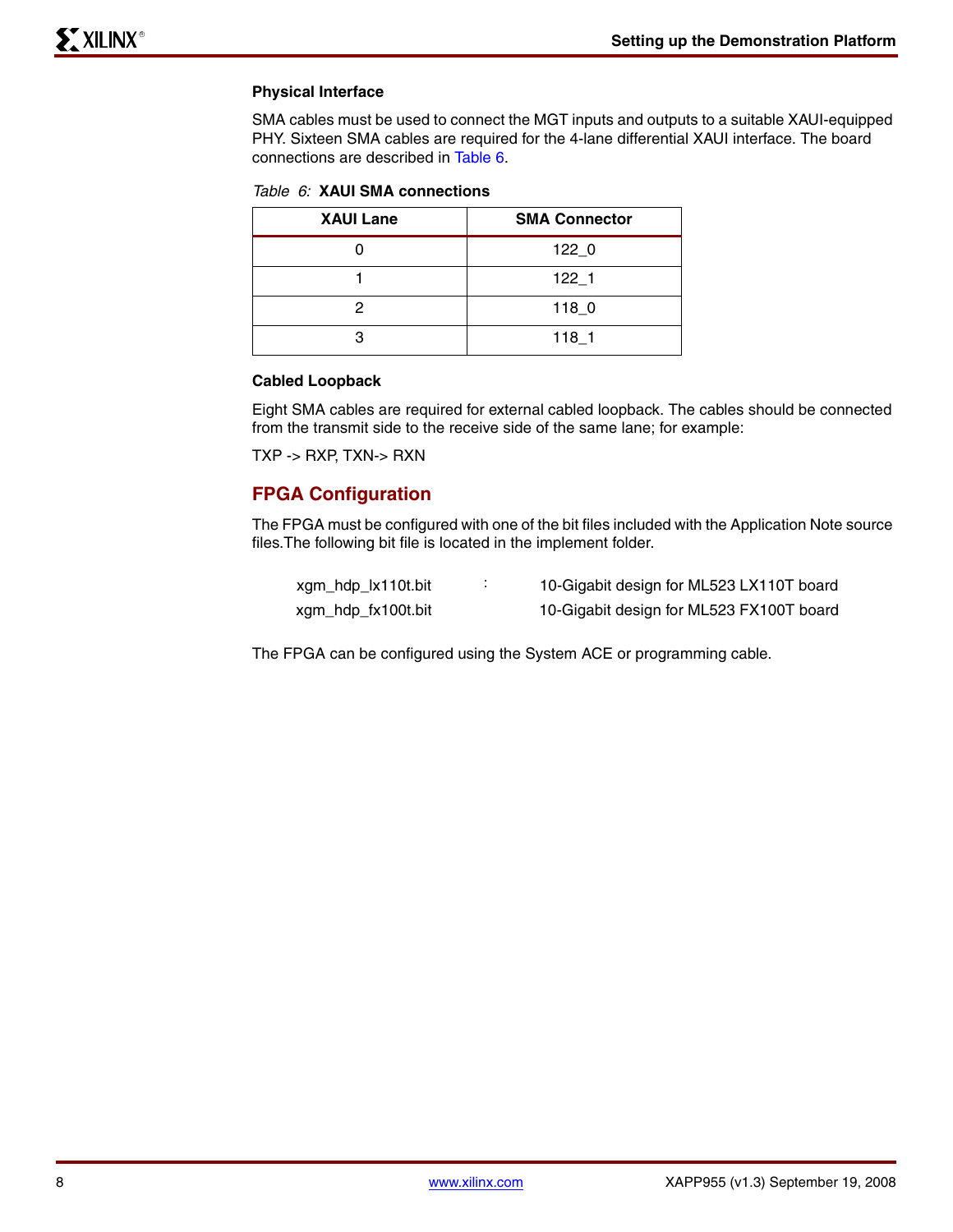#### **Physical Interface**

SMA cables must be used to connect the MGT inputs and outputs to a suitable XAUI-equipped PHY. Sixteen SMA cables are required for the 4-lane differential XAUI interface. The board connections are described in [Table](#page-7-0) 6.

<span id="page-7-0"></span>

| Table 6: XAUI SMA connections |
|-------------------------------|
|-------------------------------|

| <b>XAUI Lane</b> | <b>SMA Connector</b> |  |  |
|------------------|----------------------|--|--|
|                  | 122.0                |  |  |
|                  | 122 <sub>1</sub>     |  |  |
|                  | $118_0$              |  |  |
|                  | $118_1$              |  |  |

#### **Cabled Loopback**

Eight SMA cables are required for external cabled loopback. The cables should be connected from the transmit side to the receive side of the same lane; for example:

TXP -> RXP, TXN-> RXN

## **FPGA Configuration**

The FPGA must be configured with one of the bit files included with the Application Note source files.The following bit file is located in the implement folder.

| xgm_hdp_lx110t.bit | 10-Gigabit design for ML523 LX110T board |
|--------------------|------------------------------------------|
| xgm_hdp_fx100t.bit | 10-Gigabit design for ML523 FX100T board |

The FPGA can be configured using the System ACE or programming cable.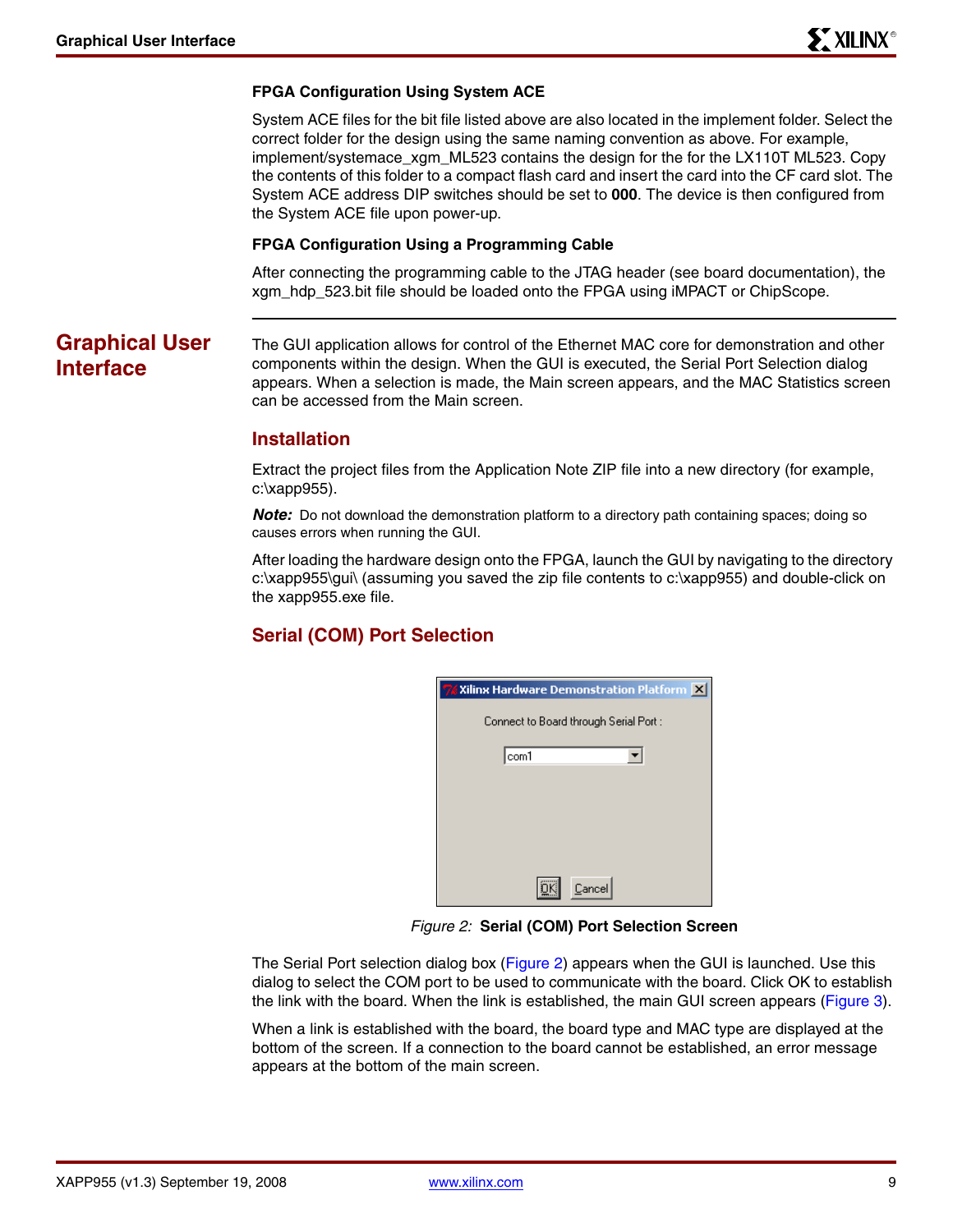#### **FPGA Configuration Using System ACE**

System ACE files for the bit file listed above are also located in the implement folder. Select the correct folder for the design using the same naming convention as above. For example, implement/systemace\_xgm\_ML523 contains the design for the for the LX110T ML523. Copy the contents of this folder to a compact flash card and insert the card into the CF card slot. The System ACE address DIP switches should be set to **000**. The device is then configured from the System ACE file upon power-up.

#### **FPGA Configuration Using a Programming Cable**

After connecting the programming cable to the JTAG header (see board documentation), the xgm\_hdp\_523.bit file should be loaded onto the FPGA using iMPACT or ChipScope.

## **Graphical User Interface**

The GUI application allows for control of the Ethernet MAC core for demonstration and other components within the design. When the GUI is executed, the Serial Port Selection dialog appears. When a selection is made, the Main screen appears, and the MAC Statistics screen can be accessed from the Main screen.

### **Installation**

Extract the project files from the Application Note ZIP file into a new directory (for example, c:\xapp955).

*Note:* Do not download the demonstration platform to a directory path containing spaces; doing so causes errors when running the GUI.

After loading the hardware design onto the FPGA, launch the GUI by navigating to the directory c:\xapp955\gui\ (assuming you saved the zip file contents to c:\xapp955) and double-click on the xapp955.exe file.

## **Serial (COM) Port Selection**

| <b>7% Xilinx Hardware Demonstration Platform X</b> |
|----------------------------------------------------|
| Connect to Board through Serial Port :             |
| com1                                               |
|                                                    |
|                                                    |
|                                                    |
|                                                    |
| Cancel                                             |

*Figure 2:* **Serial (COM) Port Selection Screen**

<span id="page-8-0"></span>The Serial Port selection dialog box ([Figure](#page-8-0) 2) appears when the GUI is launched. Use this dialog to select the COM port to be used to communicate with the board. Click OK to establish the link with the board. When the link is established, the main GUI screen appears [\(Figure](#page-9-0) 3).

When a link is established with the board, the board type and MAC type are displayed at the bottom of the screen. If a connection to the board cannot be established, an error message appears at the bottom of the main screen.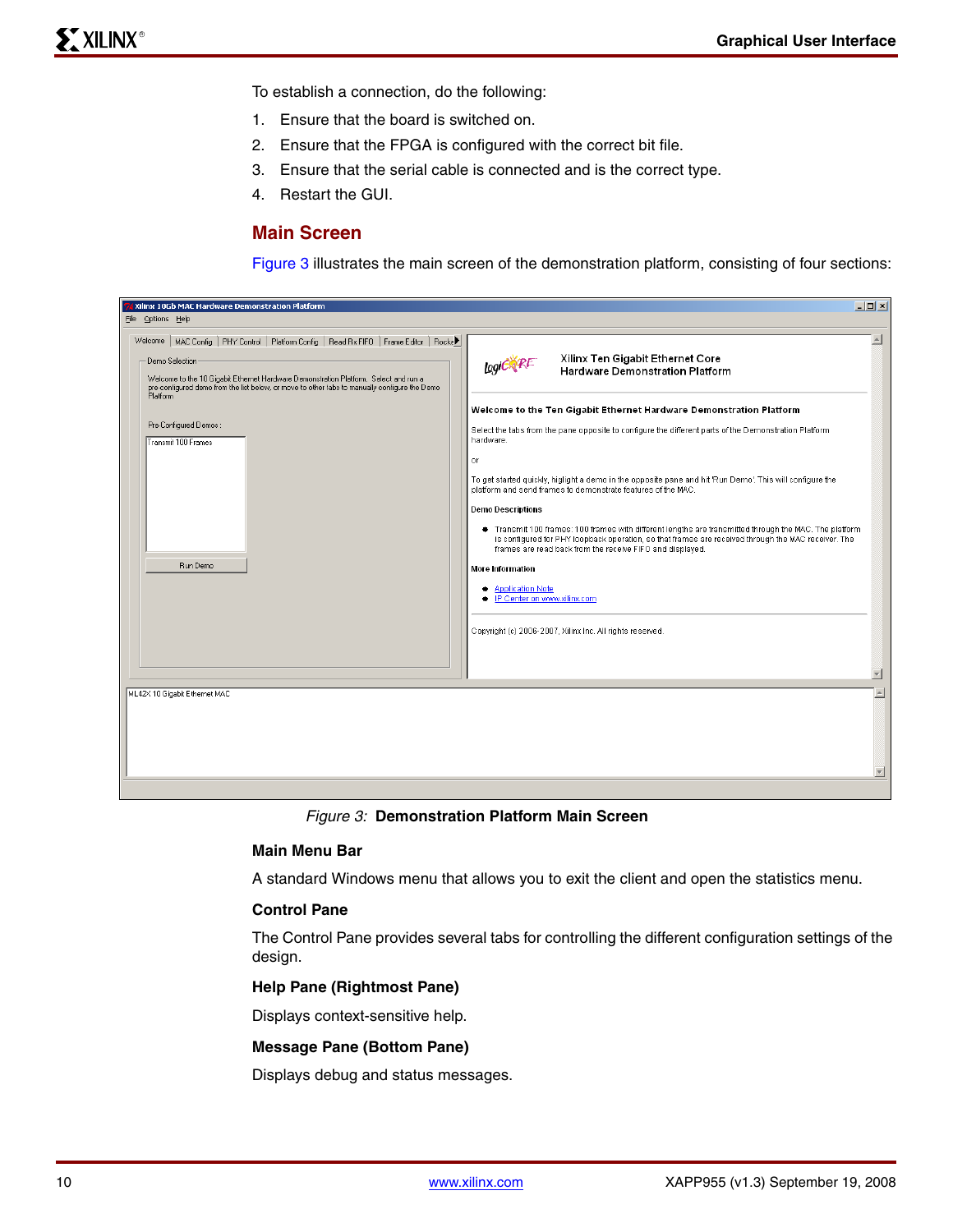To establish a connection, do the following:

- 1. Ensure that the board is switched on.
- 2. Ensure that the FPGA is configured with the correct bit file.
- 3. Ensure that the serial cable is connected and is the correct type.
- 4. Restart the GUI.

#### **Main Screen**

[Figure](#page-9-0) 3 illustrates the main screen of the demonstration platform, consisting of four sections:

|                                                                                                                                                                                                                                                                                                                                                                                                                                                                                                                                 | $\Box$                                                                                               |
|---------------------------------------------------------------------------------------------------------------------------------------------------------------------------------------------------------------------------------------------------------------------------------------------------------------------------------------------------------------------------------------------------------------------------------------------------------------------------------------------------------------------------------|------------------------------------------------------------------------------------------------------|
| Xilinx Ten Gigabit Ethernet Core<br>Logic RE<br><b>Hardware Demonstration Platform</b><br>Welcome to the Ten Gigabit Ethernet Hardware Demonstration Platform<br>Select the tabs from the pane opposite to configure the different parts of the Demonstration Platform                                                                                                                                                                                                                                                          |                                                                                                      |
| hardware.<br>or<br>To get started quickly, higlight a demo in the opposite pane and hit 'Run Demo'. This will configure the<br>platform and send frames to demonstrate features of the MAC.<br><b>Demo Descriptions</b><br>is configured for PHY loopback operation, so that frames are received through the MAC receiver. The<br>frames are read back from the receive FIFO and displayed.<br>More Information<br>Application Note<br>IP Center on www.xilinx.com<br>Copyright (c) 2006-2007, Xilinx Inc. All rights reserved. |                                                                                                      |
|                                                                                                                                                                                                                                                                                                                                                                                                                                                                                                                                 |                                                                                                      |
|                                                                                                                                                                                                                                                                                                                                                                                                                                                                                                                                 | $\blacktriangle$                                                                                     |
| Welcome   MAC Config   PHY Control   Platform Config   Read Rx FIFO   Frame Editor   Rocke                                                                                                                                                                                                                                                                                                                                                                                                                                      | Transmit 100 frames: 100 frames with different lengths are transmitted through the MAC. The platform |

*Figure 3:* **Demonstration Platform Main Screen**

#### <span id="page-9-0"></span>**Main Menu Bar**

A standard Windows menu that allows you to exit the client and open the statistics menu.

#### **Control Pane**

The Control Pane provides several tabs for controlling the different configuration settings of the design.

#### **Help Pane (Rightmost Pane)**

Displays context-sensitive help.

#### **Message Pane (Bottom Pane)**

Displays debug and status messages.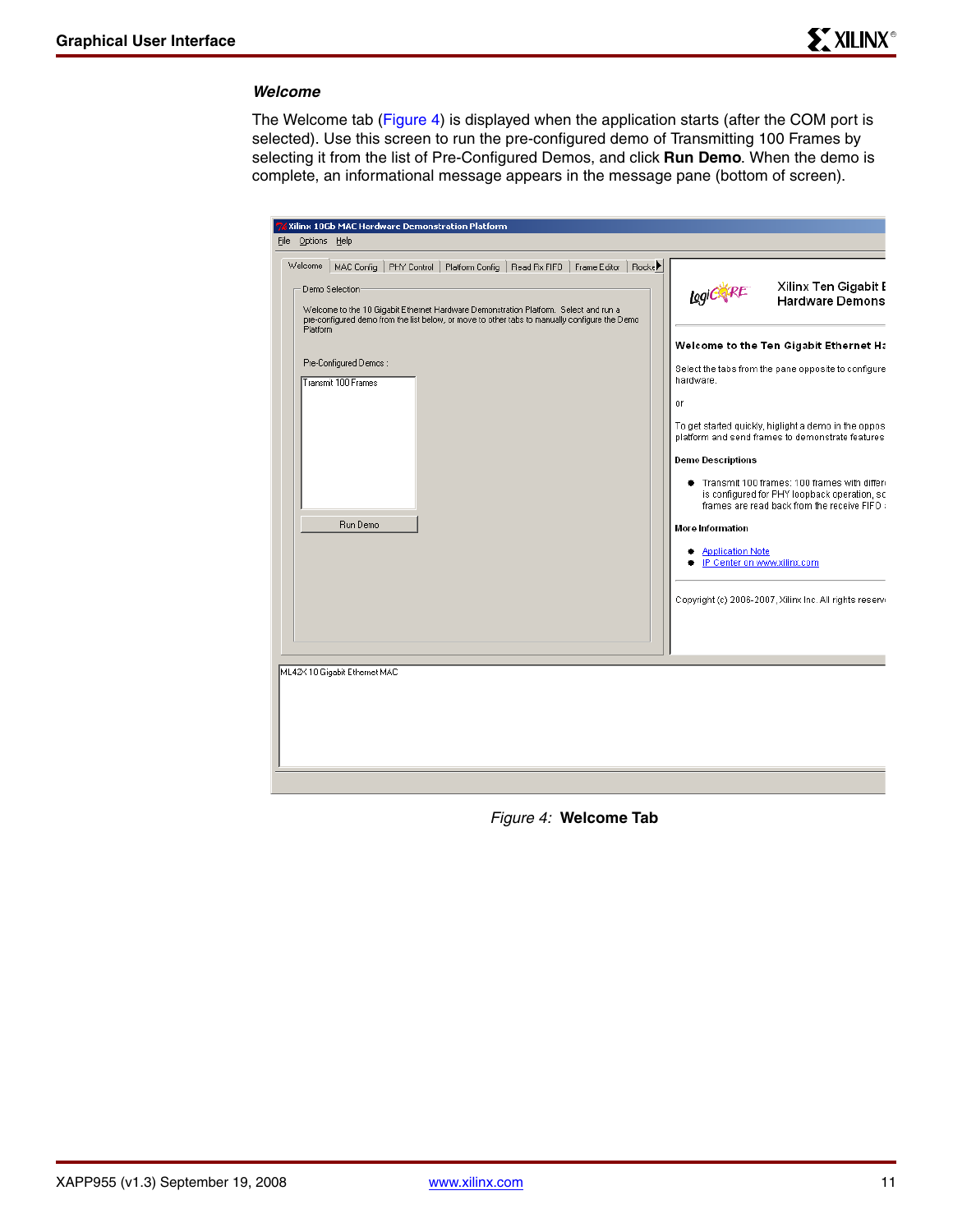#### *Welcome*

The Welcome tab [\(Figure](#page-10-0) 4) is displayed when the application starts (after the COM port is selected). Use this screen to run the pre-configured demo of Transmitting 100 Frames by selecting it from the list of Pre-Configured Demos, and click **Run Demo**. When the demo is complete, an informational message appears in the message pane (bottom of screen).

| Xilinx 10Gb MAC Hardware Demonstration Platform<br>File Options Help<br>Welcome<br>MAC Config   PHY Control   Platform Config   Read Rx FIFO   Frame Editor   Rocke▶                                                                                                                                                     |                                                                                                                                         |                                                                                                                                                                                                                                                                                                                                                                                                                                                                        |
|--------------------------------------------------------------------------------------------------------------------------------------------------------------------------------------------------------------------------------------------------------------------------------------------------------------------------|-----------------------------------------------------------------------------------------------------------------------------------------|------------------------------------------------------------------------------------------------------------------------------------------------------------------------------------------------------------------------------------------------------------------------------------------------------------------------------------------------------------------------------------------------------------------------------------------------------------------------|
| Demo Selection:<br>Welcome to the 10 Gigabit Ethernet Hardware Demonstration Platform. Select and run a<br>pre-configured demo from the list below, or move to other tabs to manually configure the Demo<br><b>Platform</b><br>Pre-Configured Demos:<br>Transmit 100 Frames<br>Run Demo<br>ML42X 10 Gigabit Ethernet MAC | Logic RE<br>hardware.<br>or<br><b>Demo Descriptions</b><br>More Information<br><b>Application Note</b><br>· IP Center on www.xilinx.com | Xilinx Ten Gigabit E<br><b>Hardware Demons</b><br>Welcome to the Ten Gigabit Ethernet Ha<br>Select the tabs from the pane opposite to configure<br>To get started quickly, higlight a demo in the oppos<br>platform and send frames to demonstrate features<br>Transmit 100 frames: 100 frames with differe<br>is configured for PHY loopback operation, so<br>frames are read back from the receive FIFO a<br>Copyright (c) 2006-2007, Xilinx Inc. All rights reserve |
|                                                                                                                                                                                                                                                                                                                          |                                                                                                                                         |                                                                                                                                                                                                                                                                                                                                                                                                                                                                        |

<span id="page-10-0"></span>*Figure 4:* **Welcome Tab**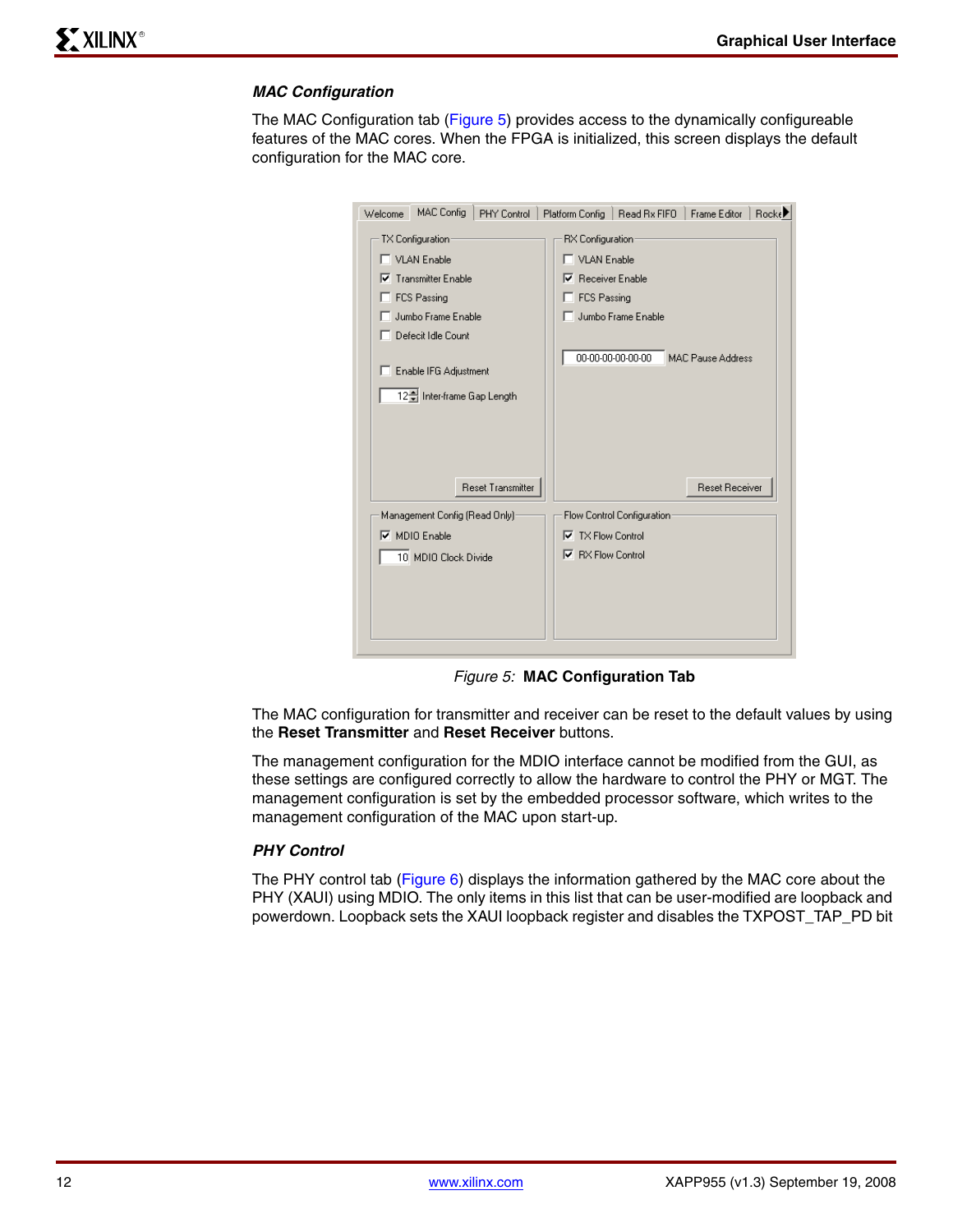#### *MAC Configuration*

The MAC Configuration tab ([Figure](#page-11-0) 5) provides access to the dynamically configureable features of the MAC cores. When the FPGA is initialized, this screen displays the default configuration for the MAC core.

| Welcome | <b>MAC Config</b>              | PHY Control              |   | Platform Config          | Read Bx FIFO               | Frame Editor             | Bocke |
|---------|--------------------------------|--------------------------|---|--------------------------|----------------------------|--------------------------|-------|
|         | TX Configuration:              |                          |   | RX Configuration:        |                            |                          |       |
|         | VLAN Enable                    |                          |   | VLAN Enable              |                            |                          |       |
|         | <b>▽</b> Transmitter Enable    |                          | ☞ |                          | <b>Receiver Enable</b>     |                          |       |
| п       | <b>FCS Passing</b>             |                          |   | FCS Passing              |                            |                          |       |
|         | Jumbo Frame Enable             |                          |   |                          | Jumbo Frame Enable         |                          |       |
|         | Defecit Idle Count             |                          |   |                          |                            |                          |       |
|         |                                |                          |   |                          |                            |                          |       |
|         | Enable IFG Adjustment          |                          |   |                          | 00-00-00-00-00-00          | <b>MAC Pause Address</b> |       |
|         |                                |                          |   |                          |                            |                          |       |
|         | 12을 Inter-frame Gap Length     |                          |   |                          |                            |                          |       |
|         |                                |                          |   |                          |                            |                          |       |
|         |                                |                          |   |                          |                            |                          |       |
|         |                                |                          |   |                          |                            |                          |       |
|         |                                | <b>Reset Transmitter</b> |   |                          |                            | <b>Reset Receiver</b>    |       |
|         |                                |                          |   |                          |                            |                          |       |
|         | Management Config (Read Only)- |                          |   |                          | Flow Control Configuration |                          |       |
|         | $\nabla$ MDIO Enable           |                          |   | $\nabla$ TX Flow Control |                            |                          |       |
|         | 10 MDIO Clock Divide           |                          |   | $\nabla$ RX Flow Control |                            |                          |       |
|         |                                |                          |   |                          |                            |                          |       |
|         |                                |                          |   |                          |                            |                          |       |
|         |                                |                          |   |                          |                            |                          |       |
|         |                                |                          |   |                          |                            |                          |       |
|         |                                |                          |   |                          |                            |                          |       |

*Figure 5:* **MAC Configuration Tab**

<span id="page-11-0"></span>The MAC configuration for transmitter and receiver can be reset to the default values by using the **Reset Transmitter** and **Reset Receiver** buttons.

The management configuration for the MDIO interface cannot be modified from the GUI, as these settings are configured correctly to allow the hardware to control the PHY or MGT. The management configuration is set by the embedded processor software, which writes to the management configuration of the MAC upon start-up.

#### *PHY Control*

The PHY control tab [\(Figure](#page-12-0)  $6$ ) displays the information gathered by the MAC core about the PHY (XAUI) using MDIO. The only items in this list that can be user-modified are loopback and powerdown. Loopback sets the XAUI loopback register and disables the TXPOST\_TAP\_PD bit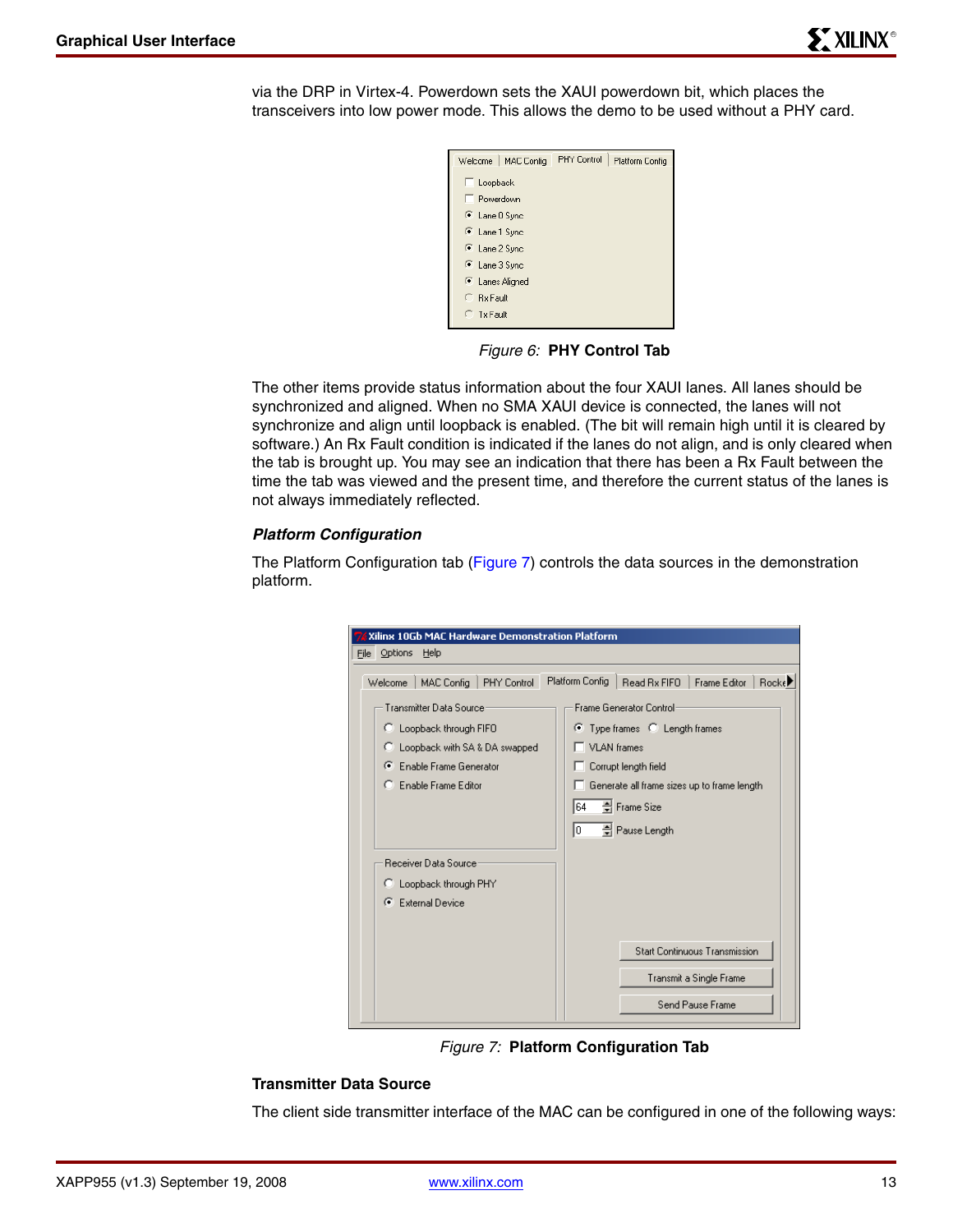via the DRP in Virtex-4. Powerdown sets the XAUI powerdown bit, which places the transceivers into low power mode. This allows the demo to be used without a PHY card.

| Welcome<br><b>MAC Config</b> | PHY Control | Platform Config |  |  |  |  |  |
|------------------------------|-------------|-----------------|--|--|--|--|--|
| $\Box$ Loopback              |             |                 |  |  |  |  |  |
| Powerdown                    |             |                 |  |  |  |  |  |
| C Lane O Sync                |             |                 |  |  |  |  |  |
| C Lane 1 Sync                |             |                 |  |  |  |  |  |
| C Lane 2 Sync                |             |                 |  |  |  |  |  |
| C Lane 3 Sync                |             |                 |  |  |  |  |  |
| C Lanes Aligned              |             |                 |  |  |  |  |  |
| $\cap$ Rx Fault              |             |                 |  |  |  |  |  |
| Tx Fault                     |             |                 |  |  |  |  |  |

*Figure 6:* **PHY Control Tab**

<span id="page-12-0"></span>The other items provide status information about the four XAUI lanes. All lanes should be synchronized and aligned. When no SMA XAUI device is connected, the lanes will not synchronize and align until loopback is enabled. (The bit will remain high until it is cleared by software.) An Rx Fault condition is indicated if the lanes do not align, and is only cleared when the tab is brought up. You may see an indication that there has been a Rx Fault between the time the tab was viewed and the present time, and therefore the current status of the lanes is not always immediately reflected.

#### *Platform Configuration*

The Platform Configuration tab [\(Figure](#page-12-1) 7) controls the data sources in the demonstration platform.

| <b>X</b> Xilinx 10Gb MAC Hardware Demonstration Platform |                                                                              |  |  |  |  |  |
|----------------------------------------------------------|------------------------------------------------------------------------------|--|--|--|--|--|
| Options<br>Help<br>File                                  |                                                                              |  |  |  |  |  |
| MAC Config<br>PHY Control<br>Welcome                     | Platform Config<br>Rocke <sup>1</sup><br>Read Rx FIFO<br><b>Frame Editor</b> |  |  |  |  |  |
| <b>Transmitter Data Source</b>                           | Frame Generator Control:                                                     |  |  |  |  |  |
| C Loopback through FIFO                                  | ● Type frames ● Length frames                                                |  |  |  |  |  |
| Loopback with SA & DA swapped<br>O                       | $\Box$ VLAN frames                                                           |  |  |  |  |  |
| Enable Frame Generator<br>G                              | Corrupt length field                                                         |  |  |  |  |  |
| Enable Frame Editor<br>o                                 | Generate all frame sizes up to frame length                                  |  |  |  |  |  |
|                                                          | 츾 Frame Size<br>64                                                           |  |  |  |  |  |
|                                                          | 축 Pause Length<br>I٥                                                         |  |  |  |  |  |
|                                                          |                                                                              |  |  |  |  |  |
| Receiver Data Source                                     |                                                                              |  |  |  |  |  |
| C Loopback through PHY                                   |                                                                              |  |  |  |  |  |
| <b>External Device</b><br>G                              |                                                                              |  |  |  |  |  |
|                                                          |                                                                              |  |  |  |  |  |
|                                                          | <b>Start Continuous Transmission</b>                                         |  |  |  |  |  |
|                                                          | Transmit a Single Frame                                                      |  |  |  |  |  |
|                                                          | Send Pause Frame                                                             |  |  |  |  |  |

*Figure 7:* **Platform Configuration Tab** 

#### <span id="page-12-1"></span>**Transmitter Data Source**

The client side transmitter interface of the MAC can be configured in one of the following ways: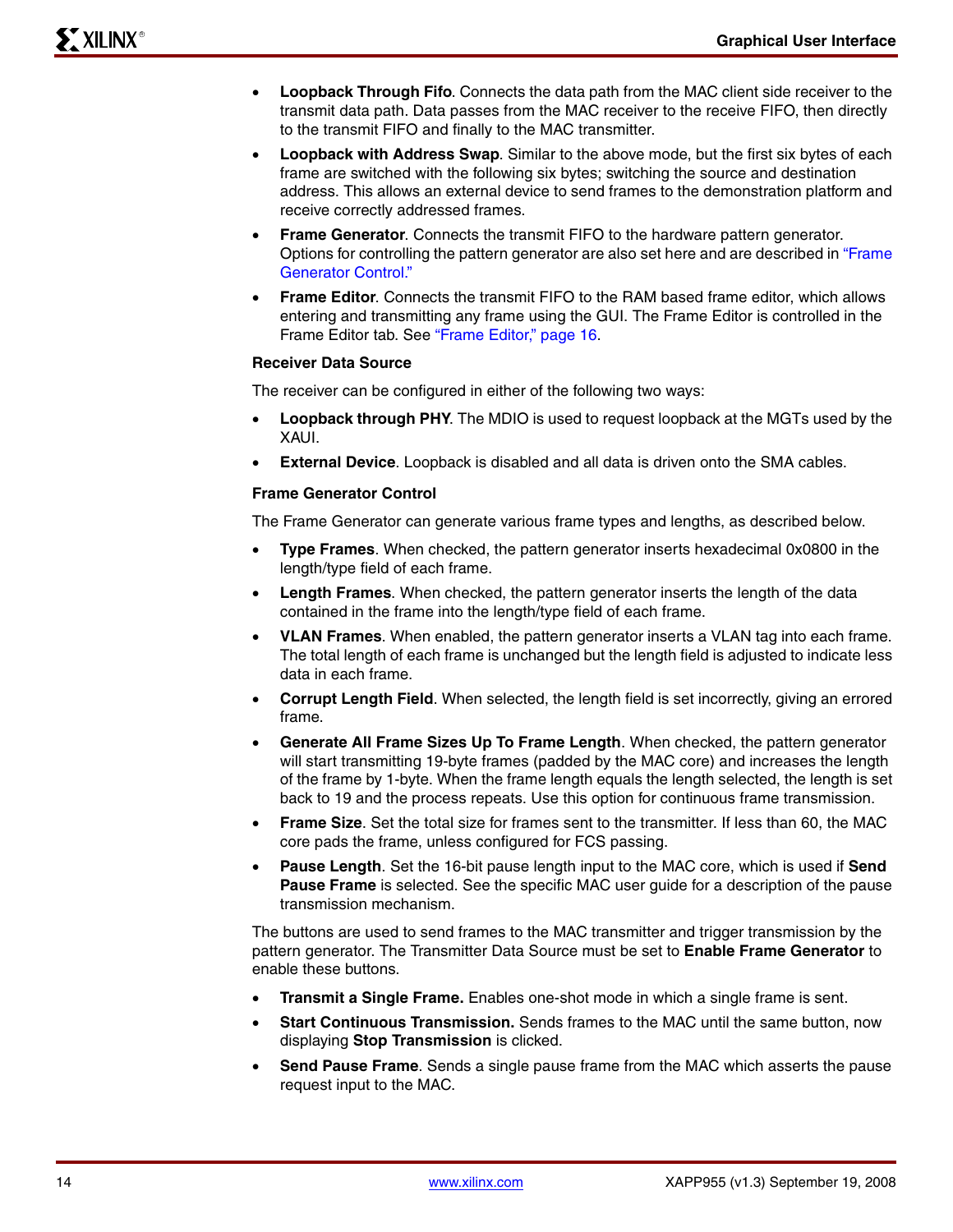- **Loopback Through Fifo**. Connects the data path from the MAC client side receiver to the transmit data path. Data passes from the MAC receiver to the receive FIFO, then directly to the transmit FIFO and finally to the MAC transmitter.
- **Loopback with Address Swap**. Similar to the above mode, but the first six bytes of each frame are switched with the following six bytes; switching the source and destination address. This allows an external device to send frames to the demonstration platform and receive correctly addressed frames.
- **Frame Generator**. Connects the transmit FIFO to the hardware pattern generator. Options for controlling the pattern generator are also set here and are described in ["Frame](#page-13-0)  [Generator Control."](#page-13-0)
- **Frame Editor**. Connects the transmit FIFO to the RAM based frame editor, which allows entering and transmitting any frame using the GUI. The Frame Editor is controlled in the Frame Editor tab. See ["Frame Editor," page 16.](#page-15-0)

#### **Receiver Data Source**

The receiver can be configured in either of the following two ways:

- **Loopback through PHY**. The MDIO is used to request loopback at the MGTs used by the XAUI.
- **External Device**. Loopback is disabled and all data is driven onto the SMA cables.

#### <span id="page-13-0"></span>**Frame Generator Control**

The Frame Generator can generate various frame types and lengths, as described below.

- **Type Frames**. When checked, the pattern generator inserts hexadecimal 0x0800 in the length/type field of each frame.
- **Length Frames.** When checked, the pattern generator inserts the length of the data contained in the frame into the length/type field of each frame.
- **VLAN Frames**. When enabled, the pattern generator inserts a VLAN tag into each frame. The total length of each frame is unchanged but the length field is adjusted to indicate less data in each frame.
- **Corrupt Length Field**. When selected, the length field is set incorrectly, giving an errored frame.
- **Generate All Frame Sizes Up To Frame Length**. When checked, the pattern generator will start transmitting 19-byte frames (padded by the MAC core) and increases the length of the frame by 1-byte. When the frame length equals the length selected, the length is set back to 19 and the process repeats. Use this option for continuous frame transmission.
- **Frame Size**. Set the total size for frames sent to the transmitter. If less than 60, the MAC core pads the frame, unless configured for FCS passing.
- **Pause Length**. Set the 16-bit pause length input to the MAC core, which is used if **Send Pause Frame** is selected. See the specific MAC user guide for a description of the pause transmission mechanism.

The buttons are used to send frames to the MAC transmitter and trigger transmission by the pattern generator. The Transmitter Data Source must be set to **Enable Frame Generator** to enable these buttons.

- **Transmit a Single Frame.** Enables one-shot mode in which a single frame is sent.
- **Start Continuous Transmission.** Sends frames to the MAC until the same button, now displaying **Stop Transmission** is clicked.
- **Send Pause Frame**. Sends a single pause frame from the MAC which asserts the pause request input to the MAC.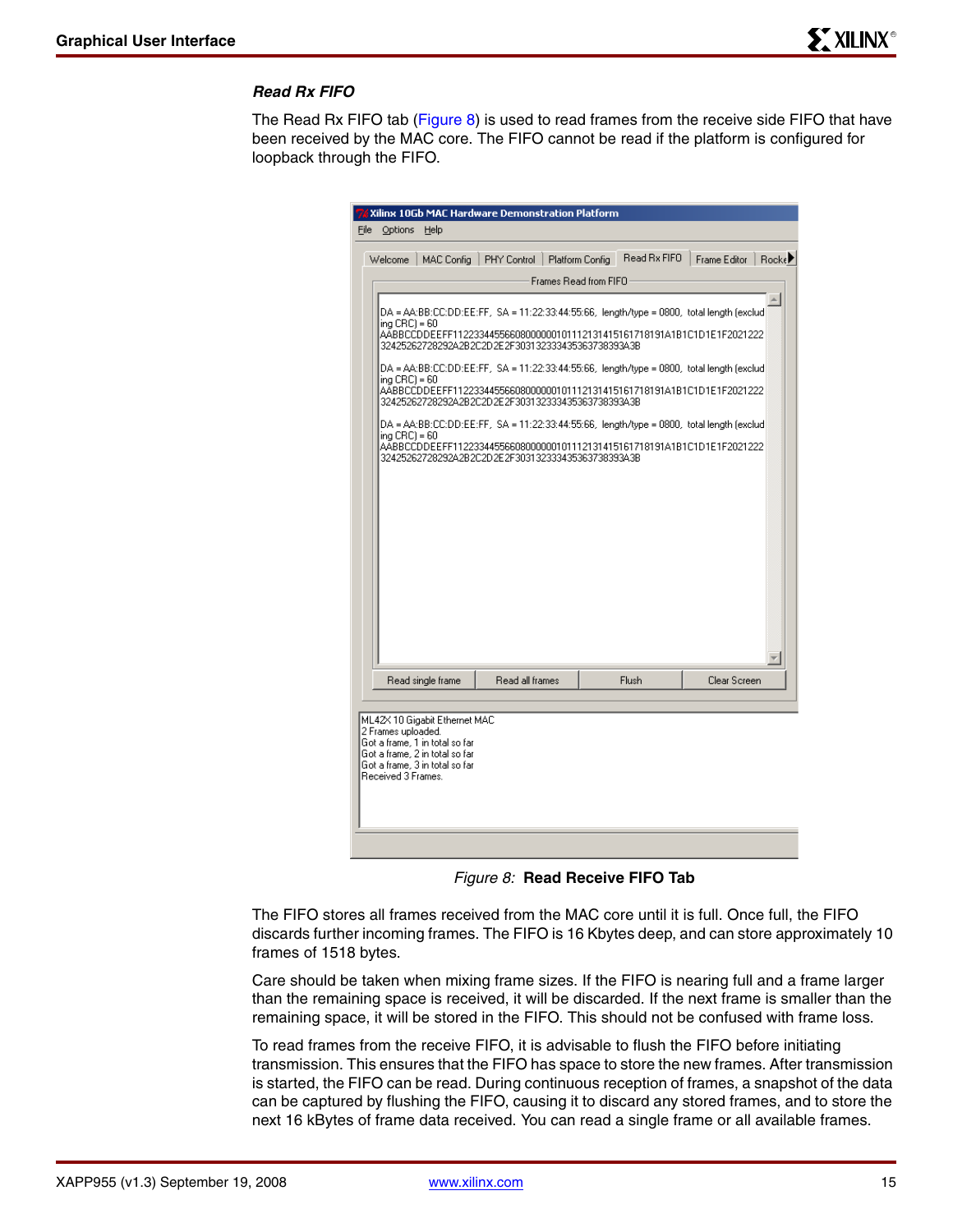#### *Read Rx FIFO*

The Read Rx FIFO tab ([Figure](#page-14-0) 8) is used to read frames from the receive side FIFO that have been received by the MAC core. The FIFO cannot be read if the platform is configured for loopback through the FIFO.

| Xilinx 10Gb MAC Hardware Demonstration Platform<br>Options Help<br>File                                                                                                                                                                           |                        |                                 |                         |
|---------------------------------------------------------------------------------------------------------------------------------------------------------------------------------------------------------------------------------------------------|------------------------|---------------------------------|-------------------------|
| Welcome<br>MAC Config                                                                                                                                                                                                                             | PHY Control            | Read Rx FIFO<br>Platform Config | Frame Editor  <br>Rocke |
|                                                                                                                                                                                                                                                   |                        | Frames Read from FIFO           |                         |
|                                                                                                                                                                                                                                                   |                        |                                 |                         |
| DA = AA:BB:CC:DD:EE:FF,SA = 11:22:33:44:55:66,length/type = 0800,total length (exclud<br>ing $\text{CRC}$ ) = 60<br>AABBCCDDEEFF11223344556608000000101112131415161718191A1B1C1D1E1F2021222<br>32425262728292A2B2C2D2E2F303132333435363738393A3B  |                        |                                 |                         |
| DA = AA:BB:CC:DD:EE:FF,SA = 11:22:33:44:55:66,length/type = 0800,total length (exclud)<br>ing $\text{CBC}$ ) = 60<br>AABBCCDDEEFF11223344556608000000101112131415161718191A1B1C1D1E1F2021222<br>32425262728292A2B2C2D2E2F303132333435363738393A3B |                        |                                 |                         |
| DA = AA:BB:CC:DD:EE:FF,SA = 11:22:33:44:55:66,length/type = 0800,total length fexclud                                                                                                                                                             |                        |                                 |                         |
| ing $\text{CRC} = 60$<br>AABBCCDDEEFF11223344556608000000101112131415161718191A1B1C1D1E1F2021222<br>32425262728292A2B2C2D2E2F303132333435363738393A3B                                                                                             |                        |                                 |                         |
|                                                                                                                                                                                                                                                   |                        |                                 |                         |
| Read single frame                                                                                                                                                                                                                                 | <b>Bead all frames</b> | Flush                           | Clear Screen            |
| ML42X 10 Gigabit Ethernet MAC<br>2 Frames uploaded.<br>Got a frame, 1 in total so far<br>Got a frame, 2 in total so far<br>Got a frame, 3 in total so far<br>Received 3 Frames.                                                                   |                        |                                 |                         |
|                                                                                                                                                                                                                                                   |                        |                                 |                         |

*Figure 8:* **Read Receive FIFO Tab**

<span id="page-14-0"></span>The FIFO stores all frames received from the MAC core until it is full. Once full, the FIFO discards further incoming frames. The FIFO is 16 Kbytes deep, and can store approximately 10 frames of 1518 bytes.

Care should be taken when mixing frame sizes. If the FIFO is nearing full and a frame larger than the remaining space is received, it will be discarded. If the next frame is smaller than the remaining space, it will be stored in the FIFO. This should not be confused with frame loss.

To read frames from the receive FIFO, it is advisable to flush the FIFO before initiating transmission. This ensures that the FIFO has space to store the new frames. After transmission is started, the FIFO can be read. During continuous reception of frames, a snapshot of the data can be captured by flushing the FIFO, causing it to discard any stored frames, and to store the next 16 kBytes of frame data received. You can read a single frame or all available frames.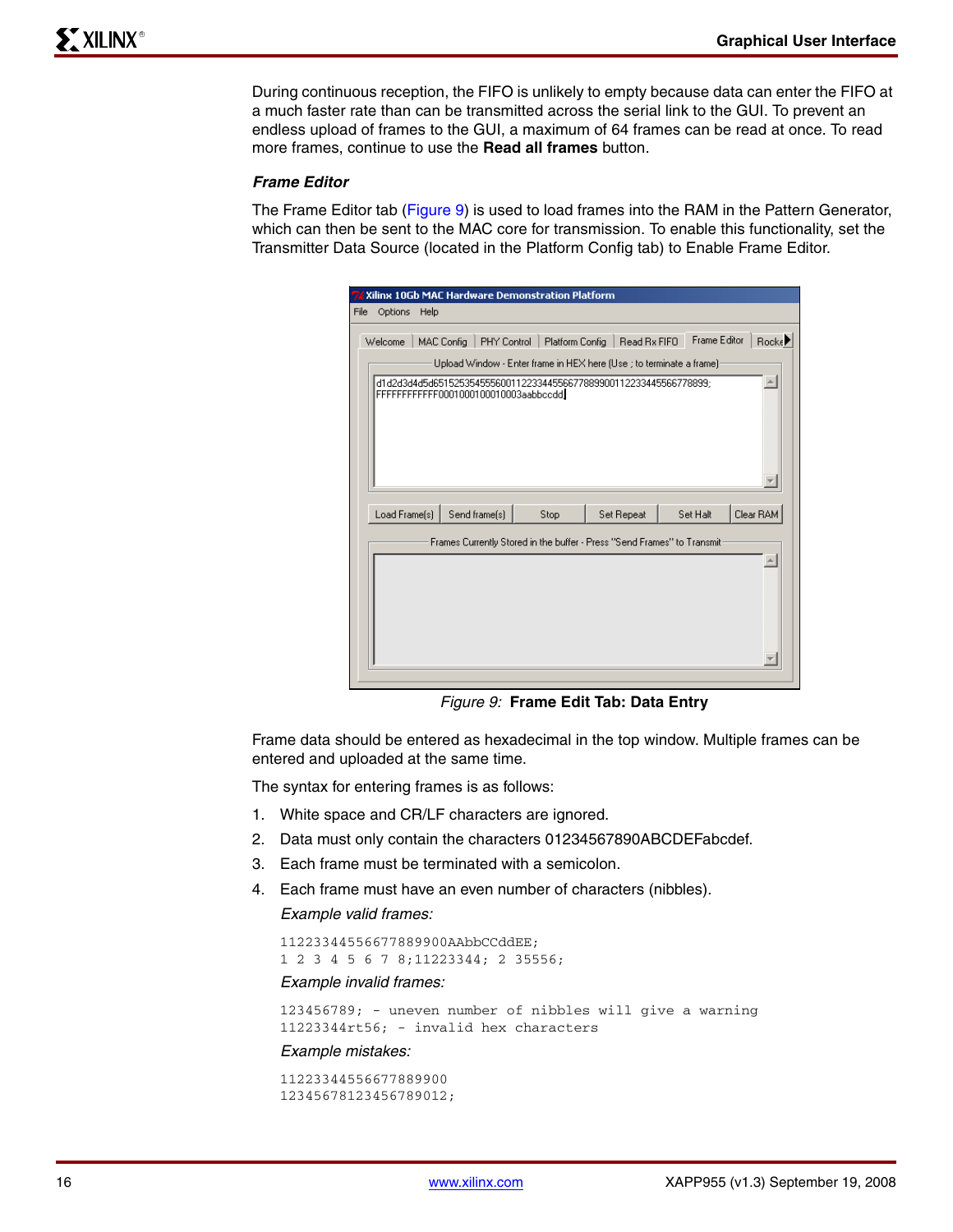During continuous reception, the FIFO is unlikely to empty because data can enter the FIFO at a much faster rate than can be transmitted across the serial link to the GUI. To prevent an endless upload of frames to the GUI, a maximum of 64 frames can be read at once. To read more frames, continue to use the **Read all frames** button.

#### <span id="page-15-0"></span>*Frame Editor*

The Frame Editor tab ([Figure](#page-15-1) 9) is used to load frames into the RAM in the Pattern Generator, which can then be sent to the MAC core for transmission. To enable this functionality, set the Transmitter Data Source (located in the Platform Config tab) to Enable Frame Editor.

|      |               |                   | Xilinx 10Gb MAC Hardware Demonstration Platform                                                            |      |                 |              |                     |                    |
|------|---------------|-------------------|------------------------------------------------------------------------------------------------------------|------|-----------------|--------------|---------------------|--------------------|
| File | Options       | Help              |                                                                                                            |      |                 |              |                     |                    |
|      | Welcome       | <b>MAC Config</b> | PHY Control                                                                                                |      | Platform Config | Read Rx FIFO | <b>Frame Editor</b> | Rocke <sup>1</sup> |
|      |               |                   | Upload Window - Enter frame in HEX here (Use ; to terminate a frame) -                                     |      |                 |              |                     |                    |
|      |               |                   | d1d2d3d4d5d65152535455560011223344556677889900112233445566778899:<br>FFFFFFFFFFFF0001000100010003aabbccdd] |      |                 |              |                     |                    |
|      | Load Frame(s) |                   | Send frame[s]                                                                                              | Stop |                 | Set Repeat   | Set Halt            | Clear RAM          |
|      |               |                   | Frames Currently Stored in the buffer - Press "Send Frames" to Transmit-                                   |      |                 |              |                     |                    |
|      |               |                   |                                                                                                            |      |                 |              |                     |                    |

*Figure 9:* **Frame Edit Tab: Data Entry**

<span id="page-15-1"></span>Frame data should be entered as hexadecimal in the top window. Multiple frames can be entered and uploaded at the same time.

The syntax for entering frames is as follows:

- 1. White space and CR/LF characters are ignored.
- 2. Data must only contain the characters 01234567890ABCDEFabcdef.
- 3. Each frame must be terminated with a semicolon.
- 4. Each frame must have an even number of characters (nibbles). *Example valid frames:*

```
11223344556677889900AAbbCCddEE;
1 2 3 4 5 6 7 8;11223344; 2 35556;
```
*Example invalid frames:*

123456789; - uneven number of nibbles will give a warning 11223344rt56; - invalid hex characters

#### *Example mistakes:*

11223344556677889900 12345678123456789012;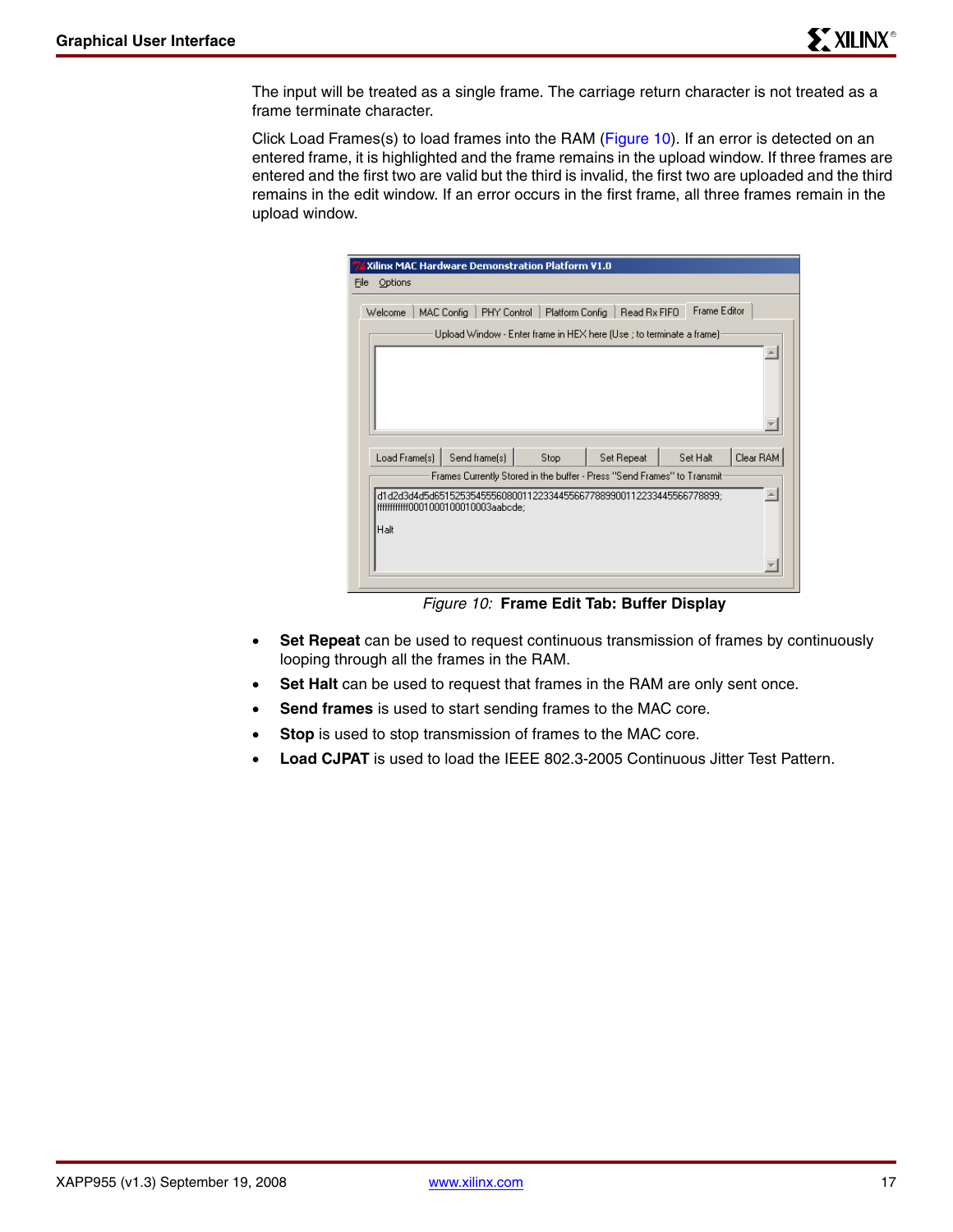The input will be treated as a single frame. The carriage return character is not treated as a frame terminate character.

Click Load Frames(s) to load frames into the RAM ([Figure](#page-16-0) 10). If an error is detected on an entered frame, it is highlighted and the frame remains in the upload window. If three frames are entered and the first two are valid but the third is invalid, the first two are uploaded and the third remains in the edit window. If an error occurs in the first frame, all three frames remain in the upload window.

|                 | Xilinx MAC Hardware Demonstration Platform V1.0                                                              |                 |              |                     |           |
|-----------------|--------------------------------------------------------------------------------------------------------------|-----------------|--------------|---------------------|-----------|
| Options<br>File |                                                                                                              |                 |              |                     |           |
| Welcome         | <b>MAC Config</b><br>PHY Control<br>Upload Window - Enter frame in HEX here (Use ; to terminate a frame):    | Platform Config | Read Rx FIFO | <b>Frame Editor</b> |           |
| Load Frame(s)   | Send frame(s)                                                                                                | Stop            | Set Repeat   | Set Halt            | Clear RAM |
|                 | Frames Currently Stored in the buffer - Press "Send Frames" to Transmit                                      |                 |              |                     |           |
| Halt            | d1d2d3d4d5d6515253545556080011223344556677889900112233445566778899;<br> fffffffffffff0001000100010003aabcde; |                 |              |                     |           |

*Figure 10:* **Frame Edit Tab: Buffer Display**

- <span id="page-16-0"></span>• **Set Repeat** can be used to request continuous transmission of frames by continuously looping through all the frames in the RAM.
- **Set Halt** can be used to request that frames in the RAM are only sent once.
- **Send frames** is used to start sending frames to the MAC core.
- **Stop** is used to stop transmission of frames to the MAC core.
- **Load CJPAT** is used to load the IEEE 802.3-2005 Continuous Jitter Test Pattern.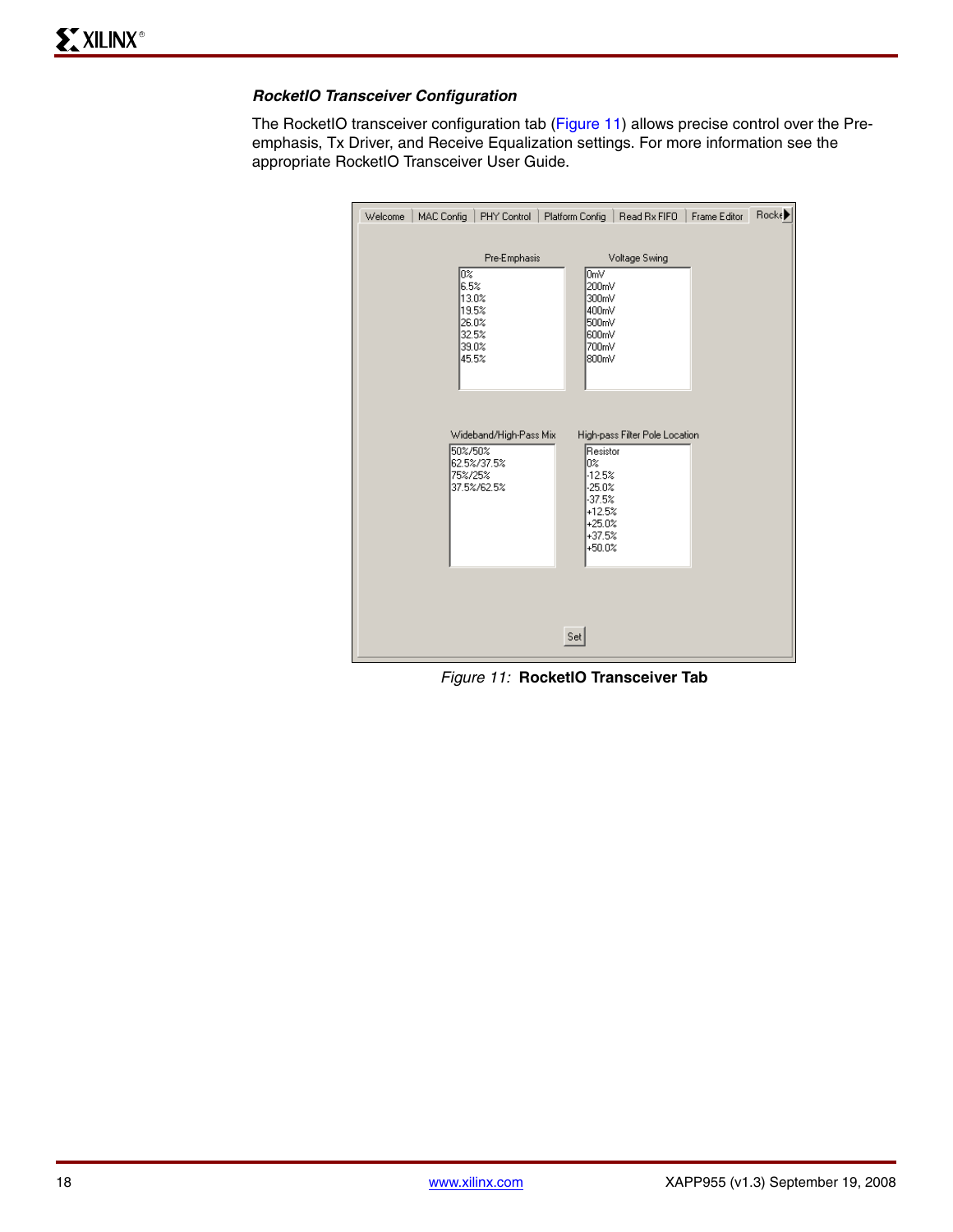#### *RocketIO Transceiver Configuration*

The RocketIO transceiver configuration tab [\(Figure](#page-17-0) 11) allows precise control over the Preemphasis, Tx Driver, and Receive Equalization settings. For more information see the appropriate RocketIO Transceiver User Guide.

| MAC Config<br>PHY Control<br>Welcome                                              | Rocke ▶<br>Platform Config<br>Frame Editor<br>Read Rx FIFO                                                                  |
|-----------------------------------------------------------------------------------|-----------------------------------------------------------------------------------------------------------------------------|
| Pre-Emphasis<br>lo%<br>6.5%<br>13.0%<br>19.5%<br>26.0%<br>32.5%<br>39.0%<br>45.5% | Voltage Swing<br>0mV<br>200mV<br>300mV<br>400mV<br>500mV<br>600mV<br>700mV<br>800mV                                         |
| Wideband/High-Pass Mix<br>50%/50%<br>62.5%/37.5%<br>75%/25%<br>37.5%/62.5%        | High-pass Filter Pole Location<br>Resistor<br>lo%<br>$-12.5%$<br>$-25.0%$<br>-37.5%<br>+12.5%<br>+25.0%<br>+37.5%<br>+50.0% |
|                                                                                   | Set                                                                                                                         |

<span id="page-17-0"></span>*Figure 11:* **RocketIO Transceiver Tab**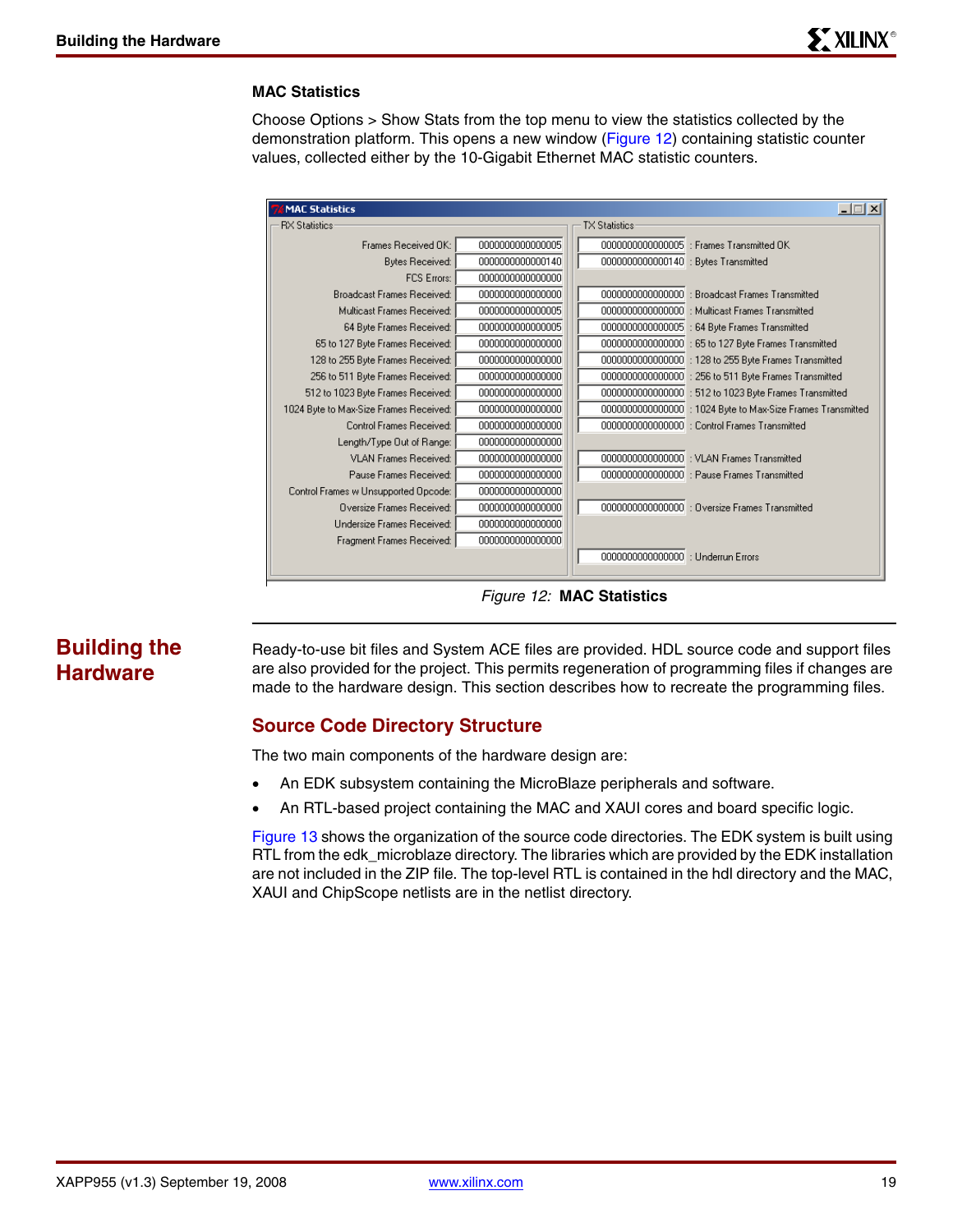#### **MAC Statistics**

Choose Options > Show Stats from the top menu to view the statistics collected by the demonstration platform. This opens a new window ([Figure](#page-18-0) 12) containing statistic counter values, collected either by the 10-Gigabit Ethernet MAC statistic counters.

| <b>RX</b> Statistics                   |                  | <b>TX Statistics</b>                 | $\Box$                                                      |
|----------------------------------------|------------------|--------------------------------------|-------------------------------------------------------------|
|                                        |                  |                                      |                                                             |
| Frames Received OK:                    | 0000000000000005 |                                      | 0000000000000005 : Frames Transmitted OK                    |
| <b>Bytes Received:</b>                 | 0000000000000140 | 0000000000000140 : Bytes Transmitted |                                                             |
| <b>FCS Errors:</b>                     | 000000000000000  |                                      |                                                             |
| Broadcast Frames Received:             | 0000000000000000 |                                      | 0000000000000000 : Broadcast Frames Transmitted             |
| Multicast Frames Received:             | 0000000000000005 |                                      | 0000000000000000 : Multicast Frames Transmitted             |
| 64 Byte Frames Received:               | 0000000000000005 |                                      | 0000000000000005 : 64 Byte Frames Transmitted               |
| 65 to 127 Byte Frames Received:        | 0000000000000000 |                                      | 0000000000000000 : 65 to 127 Byte Frames Transmitted        |
| 128 to 255 Byte Frames Received:       | 0000000000000000 |                                      | 0000000000000000 : 128 to 255 Byte Frames Transmitted       |
| 256 to 511 Byte Frames Received:       | 0000000000000000 |                                      | 0000000000000000 : 256 to 511 Byte Frames Transmitted       |
| 512 to 1023 Byte Frames Received:      | 0000000000000000 |                                      | 0000000000000000 : 512 to 1023 Byte Frames Transmitted      |
| 1024 Byte to Max-Size Frames Received: | 0000000000000000 |                                      | 0000000000000000 : 1024 Byte to Max-Size Frames Transmitted |
| Control Frames Received:               | 000000000000000  |                                      | 0000000000000000 : Control Frames Transmitted               |
| Length/Type Out of Range:              | 0000000000000000 |                                      |                                                             |
| <b>VLAN Frames Received:</b>           | 0000000000000000 |                                      | 0000000000000000 : VLAN Frames Transmitted                  |
| Pause Frames Received:                 | 0000000000000000 |                                      | 0000000000000000 : Pause Frames Transmitted                 |
| Control Frames w Unsupported Opcode:   | 0000000000000000 |                                      |                                                             |
| Oversize Frames Received:              | 000000000000000  |                                      | 0000000000000000 : Oversize Frames Transmitted              |
| Undersize Frames Received:             | 0000000000000000 |                                      |                                                             |
| Fragment Frames Received:              | 0000000000000000 |                                      |                                                             |
|                                        |                  | 0000000000000000 : Underrun Errors   |                                                             |

*Figure 12:* **MAC Statistics**

## **Building the Hardware**

<span id="page-18-0"></span>Ready-to-use bit files and System ACE files are provided. HDL source code and support files are also provided for the project. This permits regeneration of programming files if changes are made to the hardware design. This section describes how to recreate the programming files.

## **Source Code Directory Structure**

The two main components of the hardware design are:

- An EDK subsystem containing the MicroBlaze peripherals and software.
- An RTL-based project containing the MAC and XAUI cores and board specific logic.

[Figure](#page-19-0) 13 shows the organization of the source code directories. The EDK system is built using RTL from the edk\_microblaze directory. The libraries which are provided by the EDK installation are not included in the ZIP file. The top-level RTL is contained in the hdl directory and the MAC, XAUI and ChipScope netlists are in the netlist directory.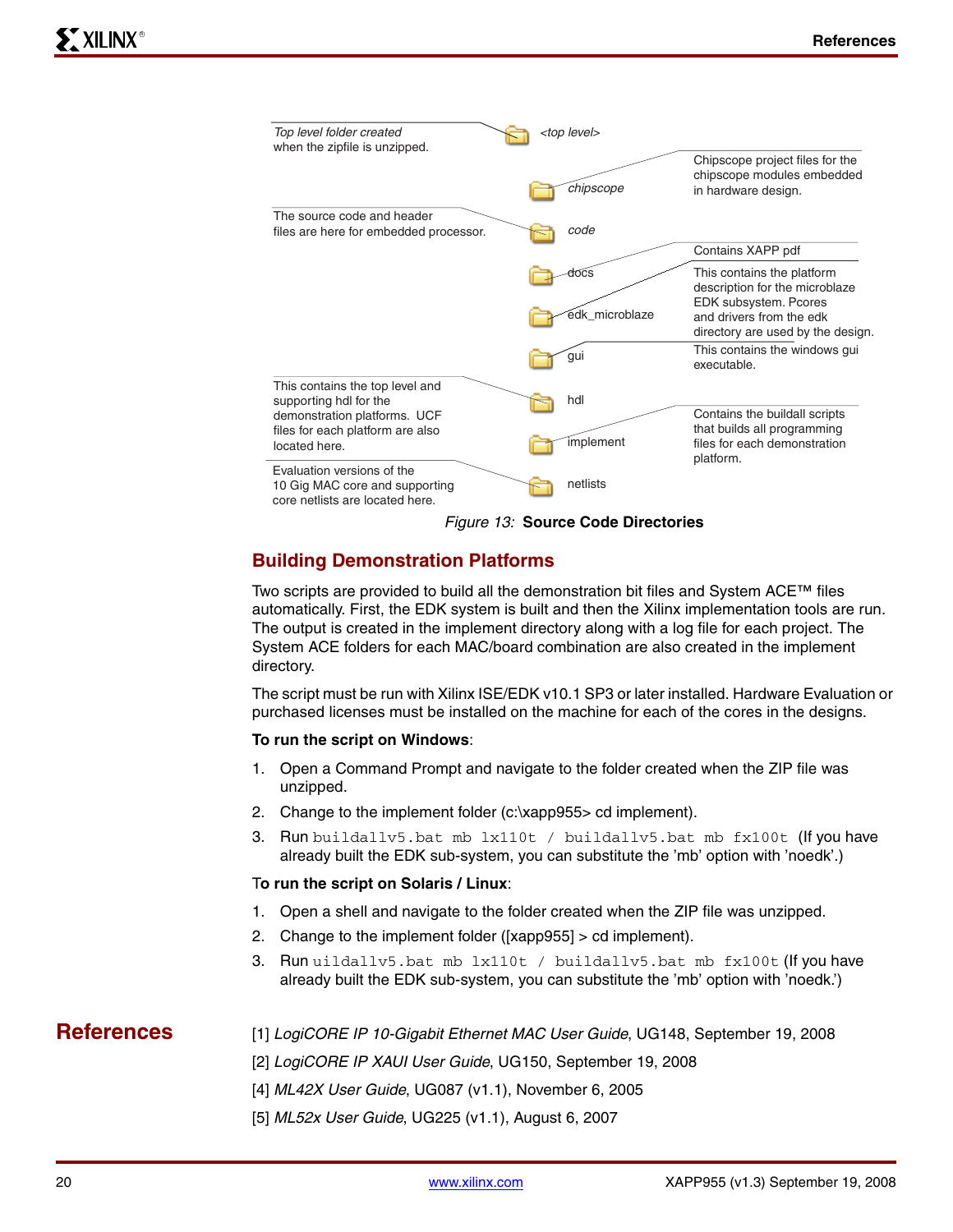| Top level folder created<br>when the zipfile is unzipped.                                       | <top level=""></top> |                                                                                                           |
|-------------------------------------------------------------------------------------------------|----------------------|-----------------------------------------------------------------------------------------------------------|
|                                                                                                 | chipscope            | Chipscope project files for the<br>chipscope modules embedded<br>in hardware design.                      |
| The source code and header<br>files are here for embedded processor.                            | code                 |                                                                                                           |
|                                                                                                 |                      | Contains XAPP pdf                                                                                         |
|                                                                                                 | docs                 | This contains the platform<br>description for the microblaze                                              |
|                                                                                                 | edk_microblaze       | EDK subsystem. Pcores<br>and drivers from the edk<br>directory are used by the design.                    |
|                                                                                                 | gui                  | This contains the windows gui<br>executable.                                                              |
| This contains the top level and<br>supporting hdl for the                                       | hdl                  |                                                                                                           |
| demonstration platforms. UCF<br>files for each platform are also<br>located here.               | implement            | Contains the buildall scripts<br>that builds all programming<br>files for each demonstration<br>platform. |
| Evaluation versions of the<br>10 Gig MAC core and supporting<br>core netlists are located here. | netlists             |                                                                                                           |

*Figure 13:* **Source Code Directories**

## <span id="page-19-0"></span>**Building Demonstration Platforms**

Two scripts are provided to build all the demonstration bit files and System ACE™ files automatically. First, the EDK system is built and then the Xilinx implementation tools are run. The output is created in the implement directory along with a log file for each project. The System ACE folders for each MAC/board combination are also created in the implement directory.

The script must be run with Xilinx ISE/EDK v10.1 SP3 or later installed. Hardware Evaluation or purchased licenses must be installed on the machine for each of the cores in the designs.

#### **To run the script on Windows**:

- 1. Open a Command Prompt and navigate to the folder created when the ZIP file was unzipped.
- 2. Change to the implement folder (c:\xapp955> cd implement).
- 3. Run buildallv5.bat mb lx110t / buildallv5.bat mb fx100t (If you have already built the EDK sub-system, you can substitute the 'mb' option with 'noedk'.)

#### T**o run the script on Solaris / Linux**:

- 1. Open a shell and navigate to the folder created when the ZIP file was unzipped.
- 2. Change to the implement folder ([xapp955] > cd implement).
- 3. Run uildallv5.bat mb lx110t / buildallv5.bat mb fx100t (If you have already built the EDK sub-system, you can substitute the 'mb' option with 'noedk.')

- **References** [1] *LogiCORE IP 10-Gigabit Ethernet MAC User Guide*, UG148, September 19, 2008
	- [2] *LogiCORE IP XAUI User Guide*, UG150, September 19, 2008
	- [4] *ML42X User Guide*, UG087 (v1.1), November 6, 2005
	- [5] *ML52x User Guide*, UG225 (v1.1), August 6, 2007